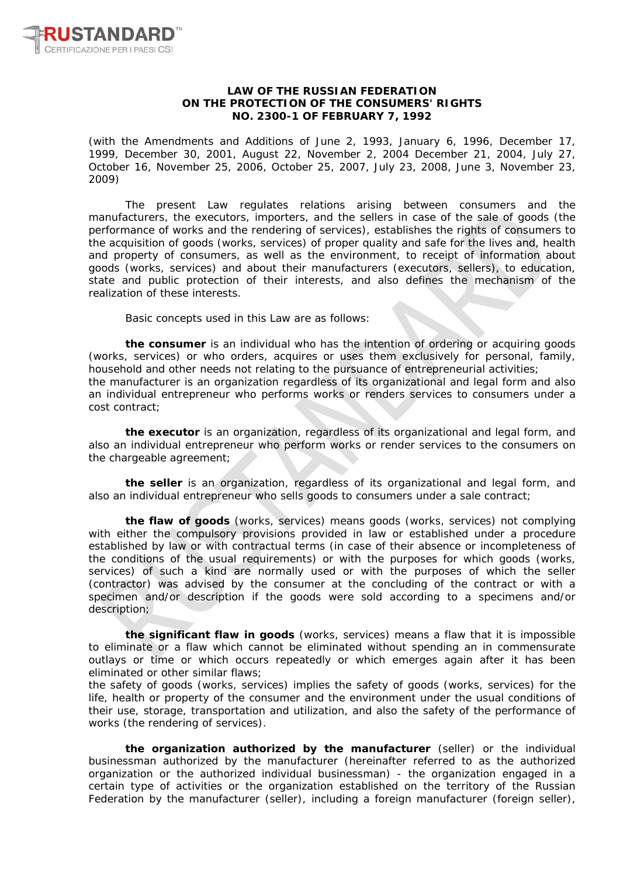

## **LAW OF THE RUSSIAN FEDERATION ON THE PROTECTION OF THE CONSUMERS' RIGHTS NO. 2300-1 OF FEBRUARY 7, 1992**

*(with the Amendments and Additions of June 2, 1993, January 6, 1996, December 17, 1999, December 30, 2001, August 22, November 2, 2004 December 21, 2004, July 27, October 16, November 25, 2006, October 25, 2007, July 23, 2008, June 3, November 23, 2009)* 

The present Law regulates relations arising between consumers and the manufacturers, the executors, importers, and the sellers in case of the sale of goods (the performance of works and the rendering of services), establishes the rights of consumers to the acquisition of goods (works, services) of proper quality and safe for the lives and, health and property of consumers, as well as the environment, to receipt of information about goods (works, services) and about their manufacturers (executors, sellers), to education, state and public protection of their interests, and also defines the mechanism of the realization of these interests.

Basic concepts used in this Law are as follows:

**the consumer** is an individual who has the intention of ordering or acquiring goods (works, services) or who orders, acquires or uses them exclusively for personal, family, household and other needs not relating to the pursuance of entrepreneurial activities; the manufacturer is an organization regardless of its organizational and legal form and also an individual entrepreneur who performs works or renders services to consumers under a cost contract;

**the executor** is an organization, regardless of its organizational and legal form, and also an individual entrepreneur who perform works or render services to the consumers on the chargeable agreement;

**the seller** is an organization, regardless of its organizational and legal form, and also an individual entrepreneur who sells goods to consumers under a sale contract;

**the flaw of goods** (works, services) means goods (works, services) not complying with either the compulsory provisions provided in law or established under a procedure established by law or with contractual terms (in case of their absence or incompleteness of the conditions of the usual requirements) or with the purposes for which goods (works, services) of such a kind are normally used or with the purposes of which the seller (contractor) was advised by the consumer at the concluding of the contract or with a specimen and/or description if the goods were sold according to a specimens and/or description;

**the significant flaw in goods** (works, services) means a flaw that it is impossible to eliminate or a flaw which cannot be eliminated without spending an in commensurate outlays or time or which occurs repeatedly or which emerges again after it has been eliminated or other similar flaws;

the safety of goods (works, services) implies the safety of goods (works, services) for the life, health or property of the consumer and the environment under the usual conditions of their use, storage, transportation and utilization, and also the safety of the performance of works (the rendering of services).

**the organization authorized by the manufacturer** (seller) or the individual businessman authorized by the manufacturer (hereinafter referred to as the authorized organization or the authorized individual businessman) - the organization engaged in a certain type of activities or the organization established on the territory of the Russian Federation by the manufacturer (seller), including a foreign manufacturer (foreign seller),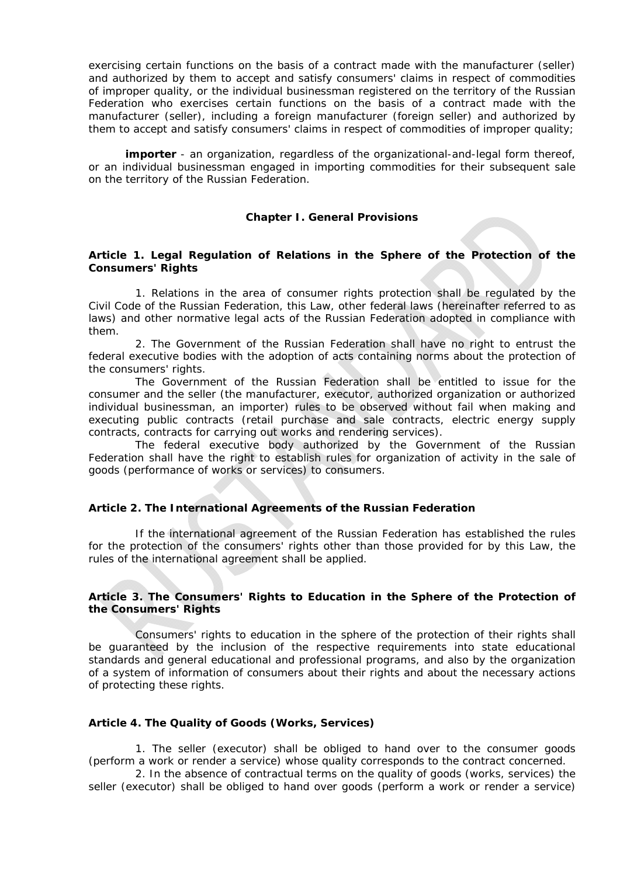exercising certain functions on the basis of a contract made with the manufacturer (seller) and authorized by them to accept and satisfy consumers' claims in respect of commodities of improper quality, or the individual businessman registered on the territory of the Russian Federation who exercises certain functions on the basis of a contract made with the manufacturer (seller), including a foreign manufacturer (foreign seller) and authorized by them to accept and satisfy consumers' claims in respect of commodities of improper quality;

**importer** - an organization, regardless of the organizational-and-legal form thereof, or an individual businessman engaged in importing commodities for their subsequent sale on the territory of the Russian Federation.

#### **Chapter I. General Provisions**

## **Article 1. Legal Regulation of Relations in the Sphere of the Protection of the Consumers' Rights**

1. Relations in the area of consumer rights protection shall be regulated by the Civil Code of the Russian Federation, this Law, other federal laws (hereinafter referred to as laws) and other normative legal acts of the Russian Federation adopted in compliance with them.

2. The Government of the Russian Federation shall have no right to entrust the federal executive bodies with the adoption of acts containing norms about the protection of the consumers' rights.

The Government of the Russian Federation shall be entitled to issue for the consumer and the seller (the manufacturer, executor, authorized organization or authorized individual businessman, an importer) rules to be observed without fail when making and executing public contracts (retail purchase and sale contracts, electric energy supply contracts, contracts for carrying out works and rendering services).

The federal executive body authorized by the Government of the Russian Federation shall have the right to establish rules for organization of activity in the sale of goods (performance of works or services) to consumers.

#### **Article 2. The International Agreements of the Russian Federation**

If the international agreement of the Russian Federation has established the rules for the protection of the consumers' rights other than those provided for by this Law, the rules of the international agreement shall be applied.

#### **Article 3. The Consumers' Rights to Education in the Sphere of the Protection of the Consumers' Rights**

Consumers' rights to education in the sphere of the protection of their rights shall be guaranteed by the inclusion of the respective requirements into state educational standards and general educational and professional programs, and also by the organization of a system of information of consumers about their rights and about the necessary actions of protecting these rights.

## **Article 4. The Quality of Goods (Works, Services)**

1. The seller (executor) shall be obliged to hand over to the consumer goods (perform a work or render a service) whose quality corresponds to the contract concerned.

2. In the absence of contractual terms on the quality of goods (works, services) the seller (executor) shall be obliged to hand over goods (perform a work or render a service)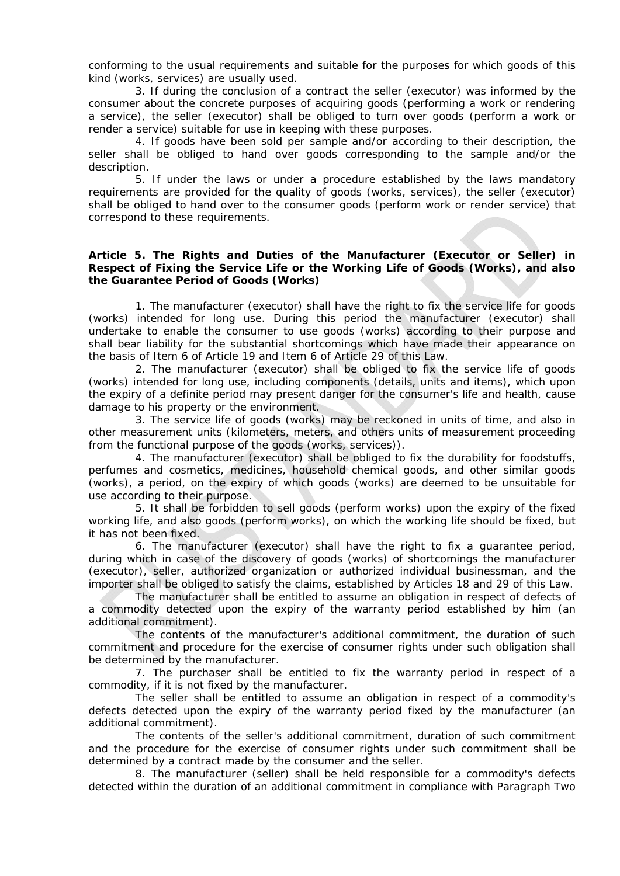conforming to the usual requirements and suitable for the purposes for which goods of this kind (works, services) are usually used.

3. If during the conclusion of a contract the seller (executor) was informed by the consumer about the concrete purposes of acquiring goods (performing a work or rendering a service), the seller (executor) shall be obliged to turn over goods (perform a work or render a service) suitable for use in keeping with these purposes.

4. If goods have been sold per sample and/or according to their description, the seller shall be obliged to hand over goods corresponding to the sample and/or the description.

5. If under the laws or under a procedure established by the laws mandatory requirements are provided for the quality of goods (works, services), the seller (executor) shall be obliged to hand over to the consumer goods (perform work or render service) that correspond to these requirements.

# **Article 5. The Rights and Duties of the Manufacturer (Executor or Seller) in Respect of Fixing the Service Life or the Working Life of Goods (Works), and also the Guarantee Period of Goods (Works)**

1. The manufacturer (executor) shall have the right to fix the service life for goods (works) intended for long use. During this period the manufacturer (executor) shall undertake to enable the consumer to use goods (works) according to their purpose and shall bear liability for the substantial shortcomings which have made their appearance on the basis of Item 6 of Article 19 and Item 6 of Article 29 of this Law.

2. The manufacturer (executor) shall be obliged to fix the service life of goods (works) intended for long use, including components (details, units and items), which upon the expiry of a definite period may present danger for the consumer's life and health, cause damage to his property or the environment.

3. The service life of goods (works) may be reckoned in units of time, and also in other measurement units (kilometers, meters, and others units of measurement proceeding from the functional purpose of the goods (works, services)).

4. The manufacturer (executor) shall be obliged to fix the durability for foodstuffs, perfumes and cosmetics, medicines, household chemical goods, and other similar goods (works), a period, on the expiry of which goods (works) are deemed to be unsuitable for use according to their purpose.

5. It shall be forbidden to sell goods (perform works) upon the expiry of the fixed working life, and also goods (perform works), on which the working life should be fixed, but it has not been fixed.

6. The manufacturer (executor) shall have the right to fix a guarantee period, during which in case of the discovery of goods (works) of shortcomings the manufacturer (executor), seller, authorized organization or authorized individual businessman, and the importer shall be obliged to satisfy the claims, established by Articles 18 and 29 of this Law.

The manufacturer shall be entitled to assume an obligation in respect of defects of a commodity detected upon the expiry of the warranty period established by him (an additional commitment).

The contents of the manufacturer's additional commitment, the duration of such commitment and procedure for the exercise of consumer rights under such obligation shall be determined by the manufacturer.

7. The purchaser shall be entitled to fix the warranty period in respect of a commodity, if it is not fixed by the manufacturer.

The seller shall be entitled to assume an obligation in respect of a commodity's defects detected upon the expiry of the warranty period fixed by the manufacturer (an additional commitment).

The contents of the seller's additional commitment, duration of such commitment and the procedure for the exercise of consumer rights under such commitment shall be determined by a contract made by the consumer and the seller.

8. The manufacturer (seller) shall be held responsible for a commodity's defects detected within the duration of an additional commitment in compliance with Paragraph Two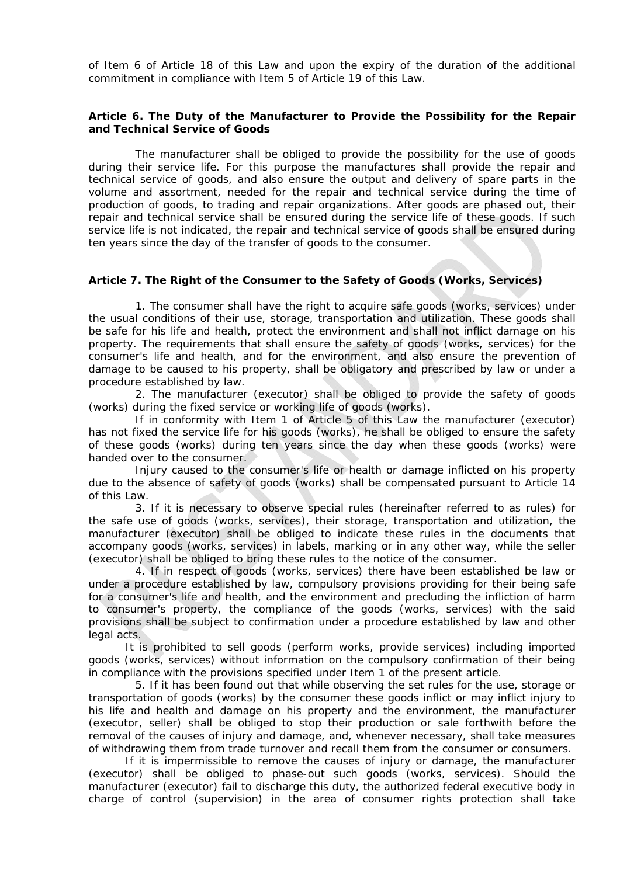of Item 6 of Article 18 of this Law and upon the expiry of the duration of the additional commitment in compliance with Item 5 of Article 19 of this Law.

## **Article 6. The Duty of the Manufacturer to Provide the Possibility for the Repair and Technical Service of Goods**

The manufacturer shall be obliged to provide the possibility for the use of goods during their service life. For this purpose the manufactures shall provide the repair and technical service of goods, and also ensure the output and delivery of spare parts in the volume and assortment, needed for the repair and technical service during the time of production of goods, to trading and repair organizations. After goods are phased out, their repair and technical service shall be ensured during the service life of these goods. If such service life is not indicated, the repair and technical service of goods shall be ensured during ten years since the day of the transfer of goods to the consumer.

# **Article 7. The Right of the Consumer to the Safety of Goods (Works, Services)**

1. The consumer shall have the right to acquire safe goods (works, services) under the usual conditions of their use, storage, transportation and utilization. These goods shall be safe for his life and health, protect the environment and shall not inflict damage on his property. The requirements that shall ensure the safety of goods (works, services) for the consumer's life and health, and for the environment, and also ensure the prevention of damage to be caused to his property, shall be obligatory and prescribed by law or under a procedure established by law.

2. The manufacturer (executor) shall be obliged to provide the safety of goods (works) during the fixed service or working life of goods (works).

If in conformity with Item 1 of Article 5 of this Law the manufacturer (executor) has not fixed the service life for his goods (works), he shall be obliged to ensure the safety of these goods (works) during ten years since the day when these goods (works) were handed over to the consumer.

Injury caused to the consumer's life or health or damage inflicted on his property due to the absence of safety of goods (works) shall be compensated pursuant to Article 14 of this Law.

3. If it is necessary to observe special rules (hereinafter referred to as rules) for the safe use of goods (works, services), their storage, transportation and utilization, the manufacturer (executor) shall be obliged to indicate these rules in the documents that accompany goods (works, services) in labels, marking or in any other way, while the seller (executor) shall be obliged to bring these rules to the notice of the consumer.

4. If in respect of goods (works, services) there have been established be law or under a procedure established by law, compulsory provisions providing for their being safe for a consumer's life and health, and the environment and precluding the infliction of harm to consumer's property, the compliance of the goods (works, services) with the said provisions shall be subject to confirmation under a procedure established by law and other legal acts.

It is prohibited to sell goods (perform works, provide services) including imported goods (works, services) without information on the compulsory confirmation of their being in compliance with the provisions specified under Item 1 of the present article.

5. If it has been found out that while observing the set rules for the use, storage or transportation of goods (works) by the consumer these goods inflict or may inflict injury to his life and health and damage on his property and the environment, the manufacturer (executor, seller) shall be obliged to stop their production or sale forthwith before the removal of the causes of injury and damage, and, whenever necessary, shall take measures of withdrawing them from trade turnover and recall them from the consumer or consumers.

If it is impermissible to remove the causes of injury or damage, the manufacturer (executor) shall be obliged to phase-out such goods (works, services). Should the manufacturer (executor) fail to discharge this duty, the authorized federal executive body in charge of control (supervision) in the area of consumer rights protection shall take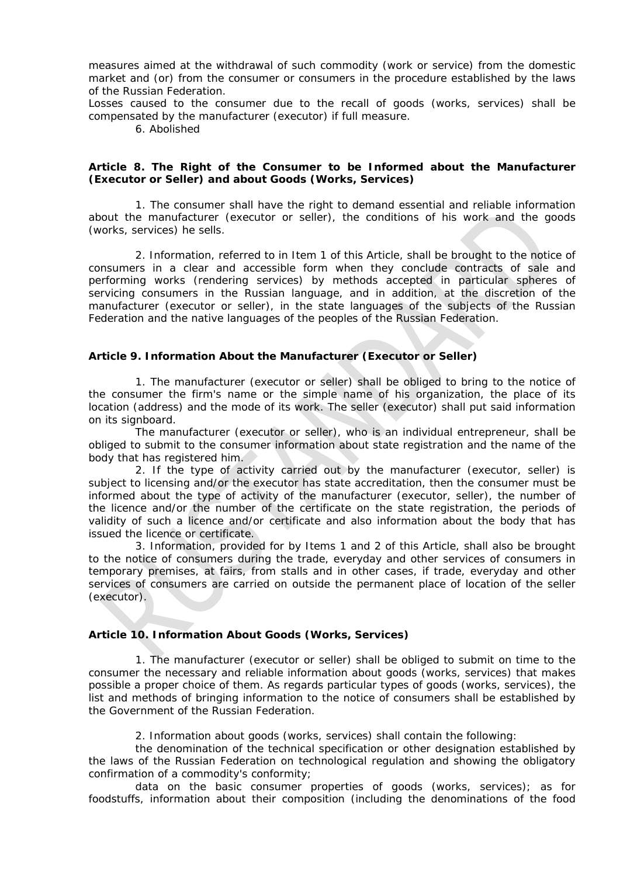measures aimed at the withdrawal of such commodity (work or service) from the domestic market and (or) from the consumer or consumers in the procedure established by the laws of the Russian Federation.

Losses caused to the consumer due to the recall of goods (works, services) shall be compensated by the manufacturer (executor) if full measure.

6. Abolished

## **Article 8. The Right of the Consumer to be Informed about the Manufacturer (Executor or Seller) and about Goods (Works, Services)**

1. The consumer shall have the right to demand essential and reliable information about the manufacturer (executor or seller), the conditions of his work and the goods (works, services) he sells.

2. Information, referred to in Item 1 of this Article, shall be brought to the notice of consumers in a clear and accessible form when they conclude contracts of sale and performing works (rendering services) by methods accepted in particular spheres of servicing consumers in the Russian language, and in addition, at the discretion of the manufacturer (executor or seller), in the state languages of the subjects of the Russian Federation and the native languages of the peoples of the Russian Federation.

# **Article 9. Information About the Manufacturer (Executor or Seller)**

1. The manufacturer (executor or seller) shall be obliged to bring to the notice of the consumer the firm's name or the simple name of his organization, the place of its location (address) and the mode of its work. The seller (executor) shall put said information on its signboard.

The manufacturer (executor or seller), who is an individual entrepreneur, shall be obliged to submit to the consumer information about state registration and the name of the body that has registered him.

2. If the type of activity carried out by the manufacturer (executor, seller) is subject to licensing and/or the executor has state accreditation, then the consumer must be informed about the type of activity of the manufacturer (executor, seller), the number of the licence and/or the number of the certificate on the state registration, the periods of validity of such a licence and/or certificate and also information about the body that has issued the licence or certificate.

3. Information, provided for by Items 1 and 2 of this Article, shall also be brought to the notice of consumers during the trade, everyday and other services of consumers in temporary premises, at fairs, from stalls and in other cases, if trade, everyday and other services of consumers are carried on outside the permanent place of location of the seller (executor).

# **Article 10. Information About Goods (Works, Services)**

1. The manufacturer (executor or seller) shall be obliged to submit on time to the consumer the necessary and reliable information about goods (works, services) that makes possible a proper choice of them. As regards particular types of goods (works, services), the list and methods of bringing information to the notice of consumers shall be established by the Government of the Russian Federation.

2. Information about goods (works, services) shall contain the following:

the denomination of the technical specification or other designation established by the laws of the Russian Federation on technological regulation and showing the obligatory confirmation of a commodity's conformity;

data on the basic consumer properties of goods (works, services); as for foodstuffs, information about their composition (including the denominations of the food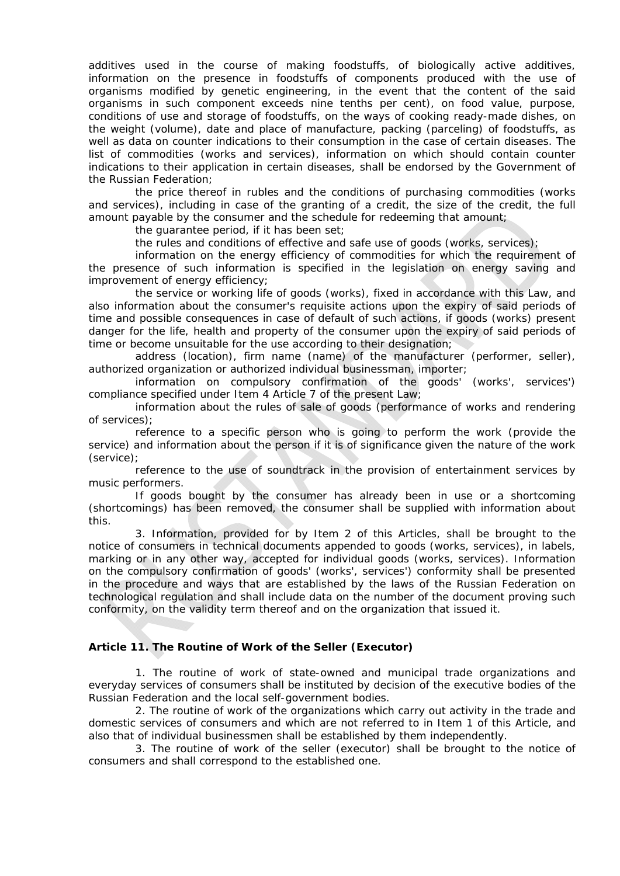additives used in the course of making foodstuffs, of biologically active additives, information on the presence in foodstuffs of components produced with the use of organisms modified by genetic engineering, in the event that the content of the said organisms in such component exceeds nine tenths per cent), on food value, purpose, conditions of use and storage of foodstuffs, on the ways of cooking ready-made dishes, on the weight (volume), date and place of manufacture, packing (parceling) of foodstuffs, as well as data on counter indications to their consumption in the case of certain diseases. The list of commodities (works and services), information on which should contain counter indications to their application in certain diseases, shall be endorsed by the Government of the Russian Federation;

the price thereof in rubles and the conditions of purchasing commodities (works and services), including in case of the granting of a credit, the size of the credit, the full amount payable by the consumer and the schedule for redeeming that amount;

the guarantee period, if it has been set;

the rules and conditions of effective and safe use of goods (works, services);

information on the energy efficiency of commodities for which the requirement of the presence of such information is specified in the legislation on energy saving and improvement of energy efficiency;

the service or working life of goods (works), fixed in accordance with this Law, and also information about the consumer's requisite actions upon the expiry of said periods of time and possible consequences in case of default of such actions, if goods (works) present danger for the life, health and property of the consumer upon the expiry of said periods of time or become unsuitable for the use according to their designation;

address (location), firm name (name) of the manufacturer (performer, seller), authorized organization or authorized individual businessman, importer;

information on compulsory confirmation of the goods' (works', services') compliance specified under Item 4 Article 7 of the present Law;

information about the rules of sale of goods (performance of works and rendering of services);

reference to a specific person who is going to perform the work (provide the service) and information about the person if it is of significance given the nature of the work (service);

reference to the use of soundtrack in the provision of entertainment services by music performers.

If goods bought by the consumer has already been in use or a shortcoming (shortcomings) has been removed, the consumer shall be supplied with information about this.

3. Information, provided for by Item 2 of this Articles, shall be brought to the notice of consumers in technical documents appended to goods (works, services), in labels, marking or in any other way, accepted for individual goods (works, services). Information on the compulsory confirmation of goods' (works', services') conformity shall be presented in the procedure and ways that are established by the laws of the Russian Federation on technological regulation and shall include data on the number of the document proving such conformity, on the validity term thereof and on the organization that issued it.

# **Article 11. The Routine of Work of the Seller (Executor)**

1. The routine of work of state-owned and municipal trade organizations and everyday services of consumers shall be instituted by decision of the executive bodies of the Russian Federation and the local self-government bodies.

2. The routine of work of the organizations which carry out activity in the trade and domestic services of consumers and which are not referred to in Item 1 of this Article, and also that of individual businessmen shall be established by them independently.

3. The routine of work of the seller (executor) shall be brought to the notice of consumers and shall correspond to the established one.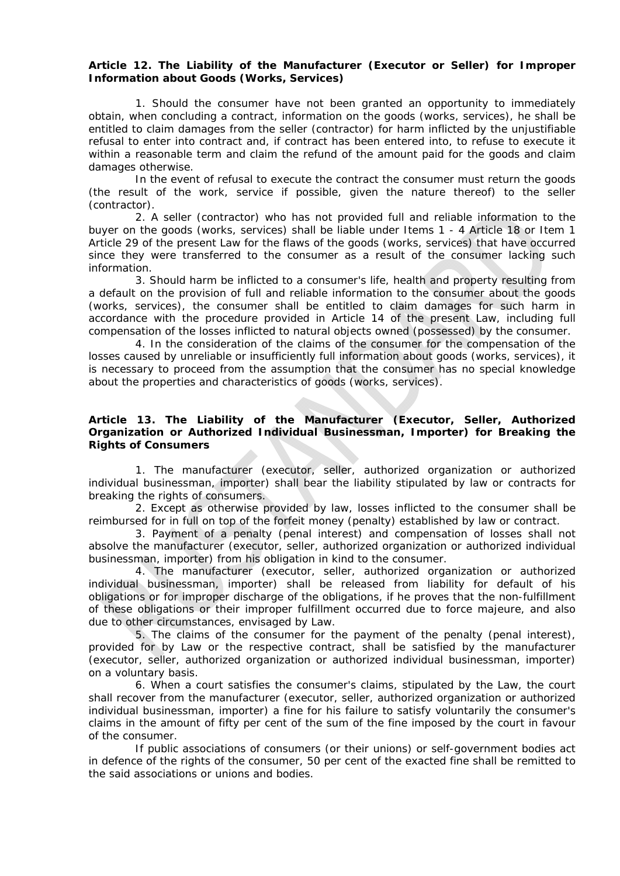## **Article 12. The Liability of the Manufacturer (Executor or Seller) for Improper Information about Goods (Works, Services)**

1. Should the consumer have not been granted an opportunity to immediately obtain, when concluding a contract, information on the goods (works, services), he shall be entitled to claim damages from the seller (contractor) for harm inflicted by the unjustifiable refusal to enter into contract and, if contract has been entered into, to refuse to execute it within a reasonable term and claim the refund of the amount paid for the goods and claim damages otherwise.

In the event of refusal to execute the contract the consumer must return the goods (the result of the work, service if possible, given the nature thereof) to the seller (contractor).

2. A seller (contractor) who has not provided full and reliable information to the buyer on the goods (works, services) shall be liable under Items 1 - 4 Article 18 or Item 1 Article 29 of the present Law for the flaws of the goods (works, services) that have occurred since they were transferred to the consumer as a result of the consumer lacking such information.

3. Should harm be inflicted to a consumer's life, health and property resulting from a default on the provision of full and reliable information to the consumer about the goods (works, services), the consumer shall be entitled to claim damages for such harm in accordance with the procedure provided in Article 14 of the present Law, including full compensation of the losses inflicted to natural objects owned (possessed) by the consumer.

4. In the consideration of the claims of the consumer for the compensation of the losses caused by unreliable or insufficiently full information about goods (works, services), it is necessary to proceed from the assumption that the consumer has no special knowledge about the properties and characteristics of goods (works, services).

## **Article 13. The Liability of the Manufacturer (Executor, Seller, Authorized Organization or Authorized Individual Businessman, Importer) for Breaking the Rights of Consumers**

1. The manufacturer (executor, seller, authorized organization or authorized individual businessman, importer) shall bear the liability stipulated by law or contracts for breaking the rights of consumers.

2. Except as otherwise provided by law, losses inflicted to the consumer shall be reimbursed for in full on top of the forfeit money (penalty) established by law or contract.

3. Payment of a penalty (penal interest) and compensation of losses shall not absolve the manufacturer (executor, seller, authorized organization or authorized individual businessman, importer) from his obligation in kind to the consumer.

4. The manufacturer (executor, seller, authorized organization or authorized individual businessman, importer) shall be released from liability for default of his obligations or for improper discharge of the obligations, if he proves that the non-fulfillment of these obligations or their improper fulfillment occurred due to force majeure, and also due to other circumstances, envisaged by Law.

5. The claims of the consumer for the payment of the penalty (penal interest), provided for by Law or the respective contract, shall be satisfied by the manufacturer (executor, seller, authorized organization or authorized individual businessman, importer) on a voluntary basis.

6. When a court satisfies the consumer's claims, stipulated by the Law, the court shall recover from the manufacturer (executor, seller, authorized organization or authorized individual businessman, importer) a fine for his failure to satisfy voluntarily the consumer's claims in the amount of fifty per cent of the sum of the fine imposed by the court in favour of the consumer.

If public associations of consumers (or their unions) or self-government bodies act in defence of the rights of the consumer, 50 per cent of the exacted fine shall be remitted to the said associations or unions and bodies.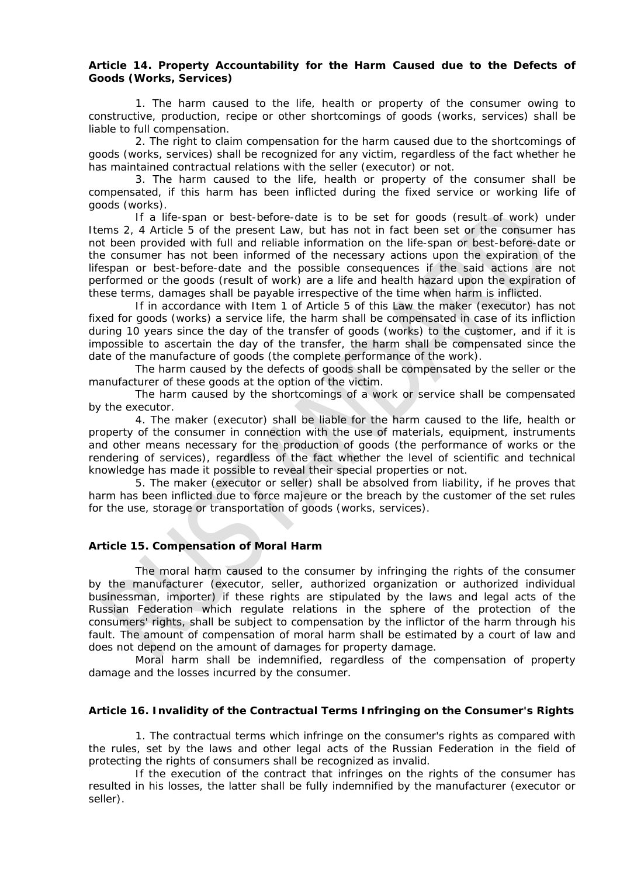## **Article 14. Property Accountability for the Harm Caused due to the Defects of Goods (Works, Services)**

1. The harm caused to the life, health or property of the consumer owing to constructive, production, recipe or other shortcomings of goods (works, services) shall be liable to full compensation.

2. The right to claim compensation for the harm caused due to the shortcomings of goods (works, services) shall be recognized for any victim, regardless of the fact whether he has maintained contractual relations with the seller (executor) or not.

3. The harm caused to the life, health or property of the consumer shall be compensated, if this harm has been inflicted during the fixed service or working life of goods (works).

If a life-span or best-before-date is to be set for goods (result of work) under Items 2, 4 Article 5 of the present Law, but has not in fact been set or the consumer has not been provided with full and reliable information on the life-span or best-before-date or the consumer has not been informed of the necessary actions upon the expiration of the lifespan or best-before-date and the possible consequences if the said actions are not performed or the goods (result of work) are a life and health hazard upon the expiration of these terms, damages shall be payable irrespective of the time when harm is inflicted.

If in accordance with Item 1 of Article 5 of this Law the maker (executor) has not fixed for goods (works) a service life, the harm shall be compensated in case of its infliction during 10 years since the day of the transfer of goods (works) to the customer, and if it is impossible to ascertain the day of the transfer, the harm shall be compensated since the date of the manufacture of goods (the complete performance of the work).

The harm caused by the defects of goods shall be compensated by the seller or the manufacturer of these goods at the option of the victim.

The harm caused by the shortcomings of a work or service shall be compensated by the executor.

4. The maker (executor) shall be liable for the harm caused to the life, health or property of the consumer in connection with the use of materials, equipment, instruments and other means necessary for the production of goods (the performance of works or the rendering of services), regardless of the fact whether the level of scientific and technical knowledge has made it possible to reveal their special properties or not.

5. The maker (executor or seller) shall be absolved from liability, if he proves that harm has been inflicted due to force majeure or the breach by the customer of the set rules for the use, storage or transportation of goods (works, services).

# **Article 15. Compensation of Moral Harm**

The moral harm caused to the consumer by infringing the rights of the consumer by the manufacturer (executor, seller, authorized organization or authorized individual businessman, importer) if these rights are stipulated by the laws and legal acts of the Russian Federation which regulate relations in the sphere of the protection of the consumers' rights, shall be subject to compensation by the inflictor of the harm through his fault. The amount of compensation of moral harm shall be estimated by a court of law and does not depend on the amount of damages for property damage.

Moral harm shall be indemnified, regardless of the compensation of property damage and the losses incurred by the consumer.

## **Article 16. Invalidity of the Contractual Terms Infringing on the Consumer's Rights**

1. The contractual terms which infringe on the consumer's rights as compared with the rules, set by the laws and other legal acts of the Russian Federation in the field of protecting the rights of consumers shall be recognized as invalid.

If the execution of the contract that infringes on the rights of the consumer has resulted in his losses, the latter shall be fully indemnified by the manufacturer (executor or seller).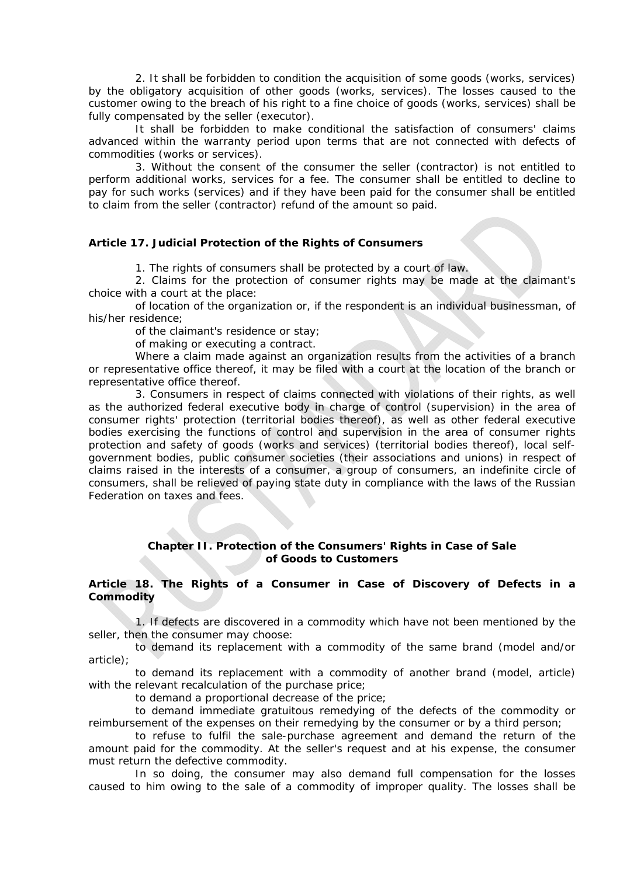2. It shall be forbidden to condition the acquisition of some goods (works, services) by the obligatory acquisition of other goods (works, services). The losses caused to the customer owing to the breach of his right to a fine choice of goods (works, services) shall be fully compensated by the seller (executor).

It shall be forbidden to make conditional the satisfaction of consumers' claims advanced within the warranty period upon terms that are not connected with defects of commodities (works or services).

3. Without the consent of the consumer the seller (contractor) is not entitled to perform additional works, services for a fee. The consumer shall be entitled to decline to pay for such works (services) and if they have been paid for the consumer shall be entitled to claim from the seller (contractor) refund of the amount so paid.

## **Article 17. Judicial Protection of the Rights of Consumers**

1. The rights of consumers shall be protected by a court of law.

2. Claims for the protection of consumer rights may be made at the claimant's choice with a court at the place:

of location of the organization or, if the respondent is an individual businessman, of his/her residence;

of the claimant's residence or stay;

of making or executing a contract.

Where a claim made against an organization results from the activities of a branch or representative office thereof, it may be filed with a court at the location of the branch or representative office thereof.

3. Consumers in respect of claims connected with violations of their rights, as well as the authorized federal executive body in charge of control (supervision) in the area of consumer rights' protection (territorial bodies thereof), as well as other federal executive bodies exercising the functions of control and supervision in the area of consumer rights protection and safety of goods (works and services) (territorial bodies thereof), local selfgovernment bodies, public consumer societies (their associations and unions) in respect of claims raised in the interests of a consumer, a group of consumers, an indefinite circle of consumers, shall be relieved of paying state duty in compliance with the laws of the Russian Federation on taxes and fees.

## **Chapter II. Protection of the Consumers' Rights in Case of Sale of Goods to Customers**

#### **Article 18. The Rights of a Consumer in Case of Discovery of Defects in a Commodity**

1. If defects are discovered in a commodity which have not been mentioned by the seller, then the consumer may choose:

to demand its replacement with a commodity of the same brand (model and/or article);

to demand its replacement with a commodity of another brand (model, article) with the relevant recalculation of the purchase price;

to demand a proportional decrease of the price;

to demand immediate gratuitous remedying of the defects of the commodity or reimbursement of the expenses on their remedying by the consumer or by a third person;

to refuse to fulfil the sale-purchase agreement and demand the return of the amount paid for the commodity. At the seller's request and at his expense, the consumer must return the defective commodity.

In so doing, the consumer may also demand full compensation for the losses caused to him owing to the sale of a commodity of improper quality. The losses shall be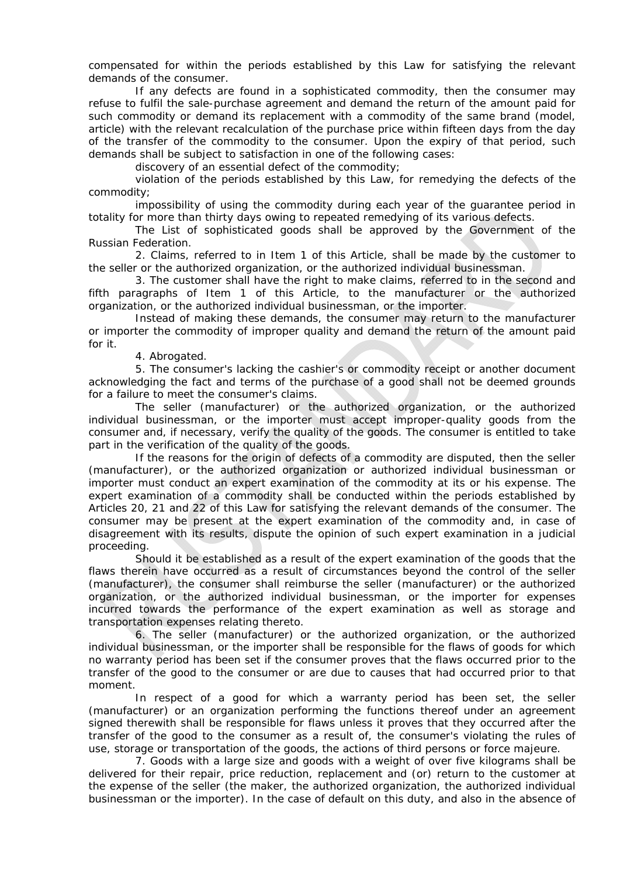compensated for within the periods established by this Law for satisfying the relevant demands of the consumer.

If any defects are found in a sophisticated commodity, then the consumer may refuse to fulfil the sale-purchase agreement and demand the return of the amount paid for such commodity or demand its replacement with a commodity of the same brand (model, article) with the relevant recalculation of the purchase price within fifteen days from the day of the transfer of the commodity to the consumer. Upon the expiry of that period, such demands shall be subject to satisfaction in one of the following cases:

discovery of an essential defect of the commodity;

violation of the periods established by this Law, for remedying the defects of the commodity;

impossibility of using the commodity during each year of the guarantee period in totality for more than thirty days owing to repeated remedying of its various defects.

The List of sophisticated goods shall be approved by the Government of the Russian Federation.

2. Claims, referred to in Item 1 of this Article, shall be made by the customer to the seller or the authorized organization, or the authorized individual businessman.

3. The customer shall have the right to make claims, referred to in the second and fifth paragraphs of Item 1 of this Article, to the manufacturer or the authorized organization, or the authorized individual businessman, or the importer.

Instead of making these demands, the consumer may return to the manufacturer or importer the commodity of improper quality and demand the return of the amount paid for it.

4. Abrogated.

5. The consumer's lacking the cashier's or commodity receipt or another document acknowledging the fact and terms of the purchase of a good shall not be deemed grounds for a failure to meet the consumer's claims.

The seller (manufacturer) or the authorized organization, or the authorized individual businessman, or the importer must accept improper-quality goods from the consumer and, if necessary, verify the quality of the goods. The consumer is entitled to take part in the verification of the quality of the goods.

If the reasons for the origin of defects of a commodity are disputed, then the seller (manufacturer), or the authorized organization or authorized individual businessman or importer must conduct an expert examination of the commodity at its or his expense. The expert examination of a commodity shall be conducted within the periods established by Articles 20, 21 and 22 of this Law for satisfying the relevant demands of the consumer. The consumer may be present at the expert examination of the commodity and, in case of disagreement with its results, dispute the opinion of such expert examination in a judicial proceeding.

Should it be established as a result of the expert examination of the goods that the flaws therein have occurred as a result of circumstances beyond the control of the seller (manufacturer), the consumer shall reimburse the seller (manufacturer) or the authorized organization, or the authorized individual businessman, or the importer for expenses incurred towards the performance of the expert examination as well as storage and transportation expenses relating thereto.

6. The seller (manufacturer) or the authorized organization, or the authorized individual businessman, or the importer shall be responsible for the flaws of goods for which no warranty period has been set if the consumer proves that the flaws occurred prior to the transfer of the good to the consumer or are due to causes that had occurred prior to that moment.

In respect of a good for which a warranty period has been set, the seller (manufacturer) or an organization performing the functions thereof under an agreement signed therewith shall be responsible for flaws unless it proves that they occurred after the transfer of the good to the consumer as a result of, the consumer's violating the rules of use, storage or transportation of the goods, the actions of third persons or force majeure.

7. Goods with a large size and goods with a weight of over five kilograms shall be delivered for their repair, price reduction, replacement and (or) return to the customer at the expense of the seller (the maker, the authorized organization, the authorized individual businessman or the importer). In the case of default on this duty, and also in the absence of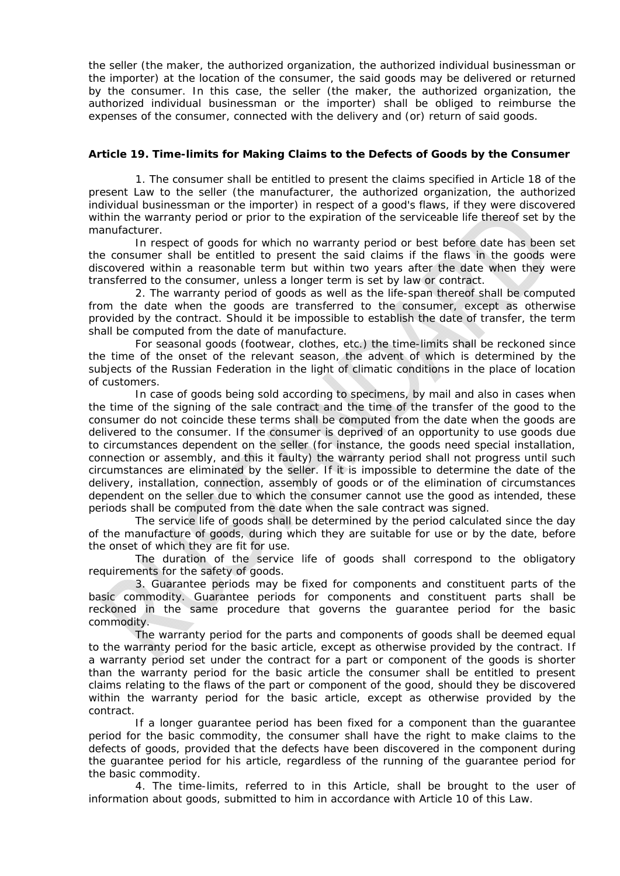the seller (the maker, the authorized organization, the authorized individual businessman or the importer) at the location of the consumer, the said goods may be delivered or returned by the consumer. In this case, the seller (the maker, the authorized organization, the authorized individual businessman or the importer) shall be obliged to reimburse the expenses of the consumer, connected with the delivery and (or) return of said goods.

# **Article 19. Time-limits for Making Claims to the Defects of Goods by the Consumer**

1. The consumer shall be entitled to present the claims specified in Article 18 of the present Law to the seller (the manufacturer, the authorized organization, the authorized individual businessman or the importer) in respect of a good's flaws, if they were discovered within the warranty period or prior to the expiration of the serviceable life thereof set by the manufacturer.

In respect of goods for which no warranty period or best before date has been set the consumer shall be entitled to present the said claims if the flaws in the goods were discovered within a reasonable term but within two years after the date when they were transferred to the consumer, unless a longer term is set by law or contract.

2. The warranty period of goods as well as the life-span thereof shall be computed from the date when the goods are transferred to the consumer, except as otherwise provided by the contract. Should it be impossible to establish the date of transfer, the term shall be computed from the date of manufacture.

For seasonal goods (footwear, clothes, etc.) the time-limits shall be reckoned since the time of the onset of the relevant season, the advent of which is determined by the subjects of the Russian Federation in the light of climatic conditions in the place of location of customers.

In case of goods being sold according to specimens, by mail and also in cases when the time of the signing of the sale contract and the time of the transfer of the good to the consumer do not coincide these terms shall be computed from the date when the goods are delivered to the consumer. If the consumer is deprived of an opportunity to use goods due to circumstances dependent on the seller (for instance, the goods need special installation, connection or assembly, and this it faulty) the warranty period shall not progress until such circumstances are eliminated by the seller. If it is impossible to determine the date of the delivery, installation, connection, assembly of goods or of the elimination of circumstances dependent on the seller due to which the consumer cannot use the good as intended, these periods shall be computed from the date when the sale contract was signed.

The service life of goods shall be determined by the period calculated since the day of the manufacture of goods, during which they are suitable for use or by the date, before the onset of which they are fit for use.

The duration of the service life of goods shall correspond to the obligatory requirements for the safety of goods.

3. Guarantee periods may be fixed for components and constituent parts of the basic commodity. Guarantee periods for components and constituent parts shall be reckoned in the same procedure that governs the guarantee period for the basic commodity.

The warranty period for the parts and components of goods shall be deemed equal to the warranty period for the basic article, except as otherwise provided by the contract. If a warranty period set under the contract for a part or component of the goods is shorter than the warranty period for the basic article the consumer shall be entitled to present claims relating to the flaws of the part or component of the good, should they be discovered within the warranty period for the basic article, except as otherwise provided by the contract.

If a longer guarantee period has been fixed for a component than the guarantee period for the basic commodity, the consumer shall have the right to make claims to the defects of goods, provided that the defects have been discovered in the component during the guarantee period for his article, regardless of the running of the guarantee period for the basic commodity.

4. The time-limits, referred to in this Article, shall be brought to the user of information about goods, submitted to him in accordance with Article 10 of this Law.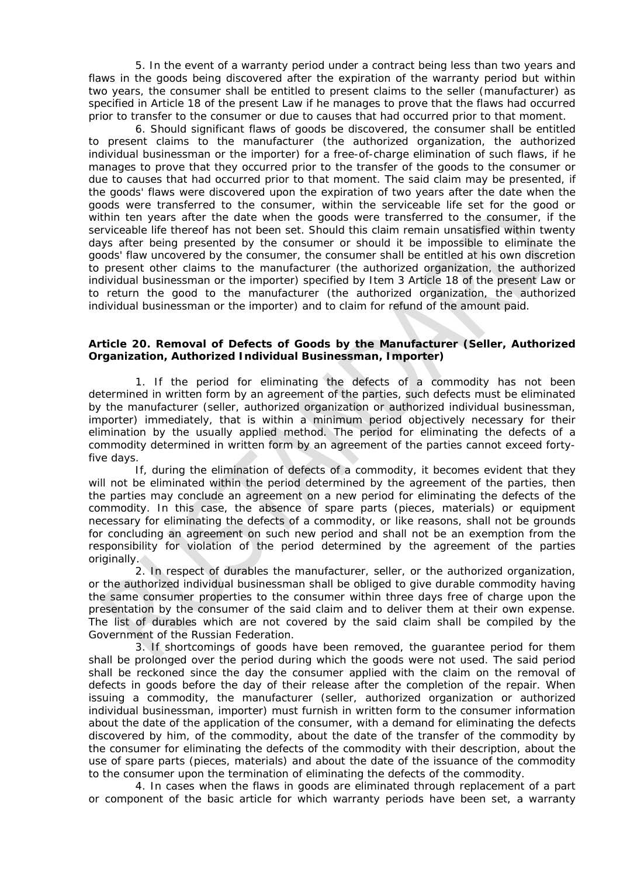5. In the event of a warranty period under a contract being less than two years and flaws in the goods being discovered after the expiration of the warranty period but within two years, the consumer shall be entitled to present claims to the seller (manufacturer) as specified in Article 18 of the present Law if he manages to prove that the flaws had occurred prior to transfer to the consumer or due to causes that had occurred prior to that moment.

6. Should significant flaws of goods be discovered, the consumer shall be entitled to present claims to the manufacturer (the authorized organization, the authorized individual businessman or the importer) for a free-of-charge elimination of such flaws, if he manages to prove that they occurred prior to the transfer of the goods to the consumer or due to causes that had occurred prior to that moment. The said claim may be presented, if the goods' flaws were discovered upon the expiration of two years after the date when the goods were transferred to the consumer, within the serviceable life set for the good or within ten years after the date when the goods were transferred to the consumer, if the serviceable life thereof has not been set. Should this claim remain unsatisfied within twenty days after being presented by the consumer or should it be impossible to eliminate the goods' flaw uncovered by the consumer, the consumer shall be entitled at his own discretion to present other claims to the manufacturer (the authorized organization, the authorized individual businessman or the importer) specified by Item 3 Article 18 of the present Law or to return the good to the manufacturer (the authorized organization, the authorized individual businessman or the importer) and to claim for refund of the amount paid.

#### **Article 20. Removal of Defects of Goods by the Manufacturer (Seller, Authorized Organization, Authorized Individual Businessman, Importer)**

1. If the period for eliminating the defects of a commodity has not been determined in written form by an agreement of the parties, such defects must be eliminated by the manufacturer (seller, authorized organization or authorized individual businessman, importer) immediately, that is within a minimum period objectively necessary for their elimination by the usually applied method. The period for eliminating the defects of a commodity determined in written form by an agreement of the parties cannot exceed fortyfive days.

If, during the elimination of defects of a commodity, it becomes evident that they will not be eliminated within the period determined by the agreement of the parties, then the parties may conclude an agreement on a new period for eliminating the defects of the commodity. In this case, the absence of spare parts (pieces, materials) or equipment necessary for eliminating the defects of a commodity, or like reasons, shall not be grounds for concluding an agreement on such new period and shall not be an exemption from the responsibility for violation of the period determined by the agreement of the parties originally.

2. In respect of durables the manufacturer, seller, or the authorized organization, or the authorized individual businessman shall be obliged to give durable commodity having the same consumer properties to the consumer within three days free of charge upon the presentation by the consumer of the said claim and to deliver them at their own expense. The list of durables which are not covered by the said claim shall be compiled by the Government of the Russian Federation.

3. If shortcomings of goods have been removed, the guarantee period for them shall be prolonged over the period during which the goods were not used. The said period shall be reckoned since the day the consumer applied with the claim on the removal of defects in goods before the day of their release after the completion of the repair. When issuing a commodity, the manufacturer (seller, authorized organization or authorized individual businessman, importer) must furnish in written form to the consumer information about the date of the application of the consumer, with a demand for eliminating the defects discovered by him, of the commodity, about the date of the transfer of the commodity by the consumer for eliminating the defects of the commodity with their description, about the use of spare parts (pieces, materials) and about the date of the issuance of the commodity to the consumer upon the termination of eliminating the defects of the commodity.

4. In cases when the flaws in goods are eliminated through replacement of a part or component of the basic article for which warranty periods have been set, a warranty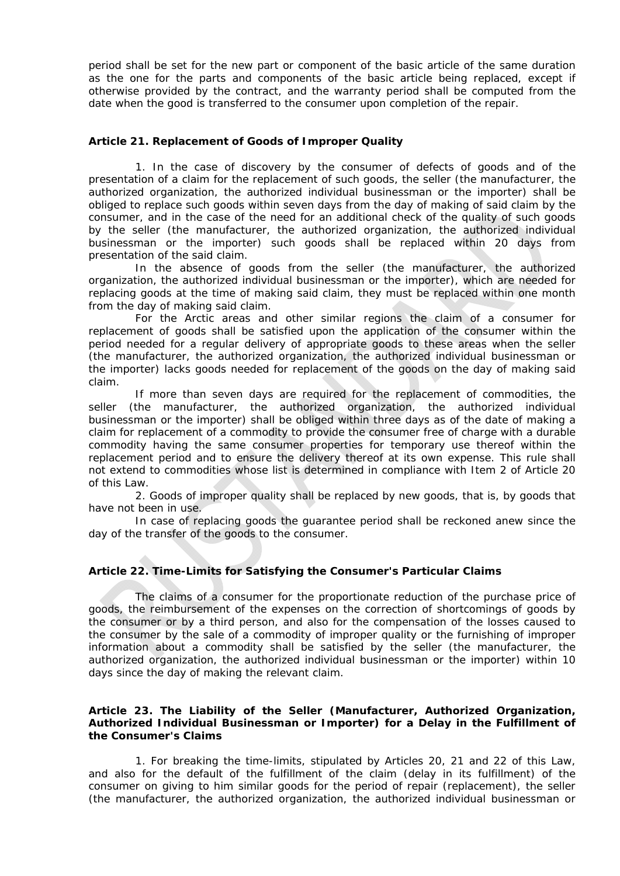period shall be set for the new part or component of the basic article of the same duration as the one for the parts and components of the basic article being replaced, except if otherwise provided by the contract, and the warranty period shall be computed from the date when the good is transferred to the consumer upon completion of the repair.

# **Article 21. Replacement of Goods of Improper Quality**

1. In the case of discovery by the consumer of defects of goods and of the presentation of a claim for the replacement of such goods, the seller (the manufacturer, the authorized organization, the authorized individual businessman or the importer) shall be obliged to replace such goods within seven days from the day of making of said claim by the consumer, and in the case of the need for an additional check of the quality of such goods by the seller (the manufacturer, the authorized organization, the authorized individual businessman or the importer) such goods shall be replaced within 20 days from presentation of the said claim.

In the absence of goods from the seller (the manufacturer, the authorized organization, the authorized individual businessman or the importer), which are needed for replacing goods at the time of making said claim, they must be replaced within one month from the day of making said claim.

For the Arctic areas and other similar regions the claim of a consumer for replacement of goods shall be satisfied upon the application of the consumer within the period needed for a regular delivery of appropriate goods to these areas when the seller (the manufacturer, the authorized organization, the authorized individual businessman or the importer) lacks goods needed for replacement of the goods on the day of making said claim.

If more than seven days are required for the replacement of commodities, the seller (the manufacturer, the authorized organization, the authorized individual businessman or the importer) shall be obliged within three days as of the date of making a claim for replacement of a commodity to provide the consumer free of charge with a durable commodity having the same consumer properties for temporary use thereof within the replacement period and to ensure the delivery thereof at its own expense. This rule shall not extend to commodities whose list is determined in compliance with Item 2 of Article 20 of this Law.

2. Goods of improper quality shall be replaced by new goods, that is, by goods that have not been in use.

In case of replacing goods the guarantee period shall be reckoned anew since the day of the transfer of the goods to the consumer.

# **Article 22. Time-Limits for Satisfying the Consumer's Particular Claims**

The claims of a consumer for the proportionate reduction of the purchase price of goods, the reimbursement of the expenses on the correction of shortcomings of goods by the consumer or by a third person, and also for the compensation of the losses caused to the consumer by the sale of a commodity of improper quality or the furnishing of improper information about a commodity shall be satisfied by the seller (the manufacturer, the authorized organization, the authorized individual businessman or the importer) within 10 days since the day of making the relevant claim.

## **Article 23. The Liability of the Seller (Manufacturer, Authorized Organization, Authorized Individual Businessman or Importer) for a Delay in the Fulfillment of the Consumer's Claims**

1. For breaking the time-limits, stipulated by Articles 20, 21 and 22 of this Law, and also for the default of the fulfillment of the claim (delay in its fulfillment) of the consumer on giving to him similar goods for the period of repair (replacement), the seller (the manufacturer, the authorized organization, the authorized individual businessman or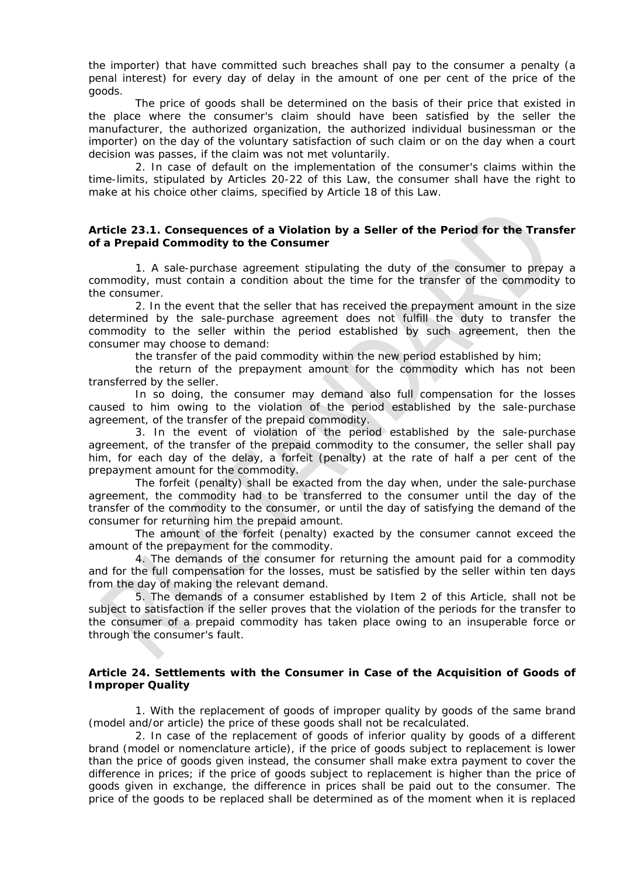the importer) that have committed such breaches shall pay to the consumer a penalty (a penal interest) for every day of delay in the amount of one per cent of the price of the goods.

The price of goods shall be determined on the basis of their price that existed in the place where the consumer's claim should have been satisfied by the seller the manufacturer, the authorized organization, the authorized individual businessman or the importer) on the day of the voluntary satisfaction of such claim or on the day when a court decision was passes, if the claim was not met voluntarily.

2. In case of default on the implementation of the consumer's claims within the time-limits, stipulated by Articles 20-22 of this Law, the consumer shall have the right to make at his choice other claims, specified by Article 18 of this Law.

## **Article 23.1. Consequences of a Violation by a Seller of the Period for the Transfer of a Prepaid Commodity to the Consumer**

1. A sale-purchase agreement stipulating the duty of the consumer to prepay a commodity, must contain a condition about the time for the transfer of the commodity to the consumer.

2. In the event that the seller that has received the prepayment amount in the size determined by the sale-purchase agreement does not fulfill the duty to transfer the commodity to the seller within the period established by such agreement, then the consumer may choose to demand:

the transfer of the paid commodity within the new period established by him;

the return of the prepayment amount for the commodity which has not been transferred by the seller.

In so doing, the consumer may demand also full compensation for the losses caused to him owing to the violation of the period established by the sale-purchase agreement, of the transfer of the prepaid commodity.

3. In the event of violation of the period established by the sale-purchase agreement, of the transfer of the prepaid commodity to the consumer, the seller shall pay him, for each day of the delay, a forfeit (penalty) at the rate of half a per cent of the prepayment amount for the commodity.

The forfeit (penalty) shall be exacted from the day when, under the sale-purchase agreement, the commodity had to be transferred to the consumer until the day of the transfer of the commodity to the consumer, or until the day of satisfying the demand of the consumer for returning him the prepaid amount.

The amount of the forfeit (penalty) exacted by the consumer cannot exceed the amount of the prepayment for the commodity.

4. The demands of the consumer for returning the amount paid for a commodity and for the full compensation for the losses, must be satisfied by the seller within ten days from the day of making the relevant demand.

5. The demands of a consumer established by Item 2 of this Article, shall not be subject to satisfaction if the seller proves that the violation of the periods for the transfer to the consumer of a prepaid commodity has taken place owing to an insuperable force or through the consumer's fault.

## **Article 24. Settlements with the Consumer in Case of the Acquisition of Goods of Improper Quality**

1. With the replacement of goods of improper quality by goods of the same brand (model and/or article) the price of these goods shall not be recalculated.

2. In case of the replacement of goods of inferior quality by goods of a different brand (model or nomenclature article), if the price of goods subject to replacement is lower than the price of goods given instead, the consumer shall make extra payment to cover the difference in prices; if the price of goods subject to replacement is higher than the price of goods given in exchange, the difference in prices shall be paid out to the consumer. The price of the goods to be replaced shall be determined as of the moment when it is replaced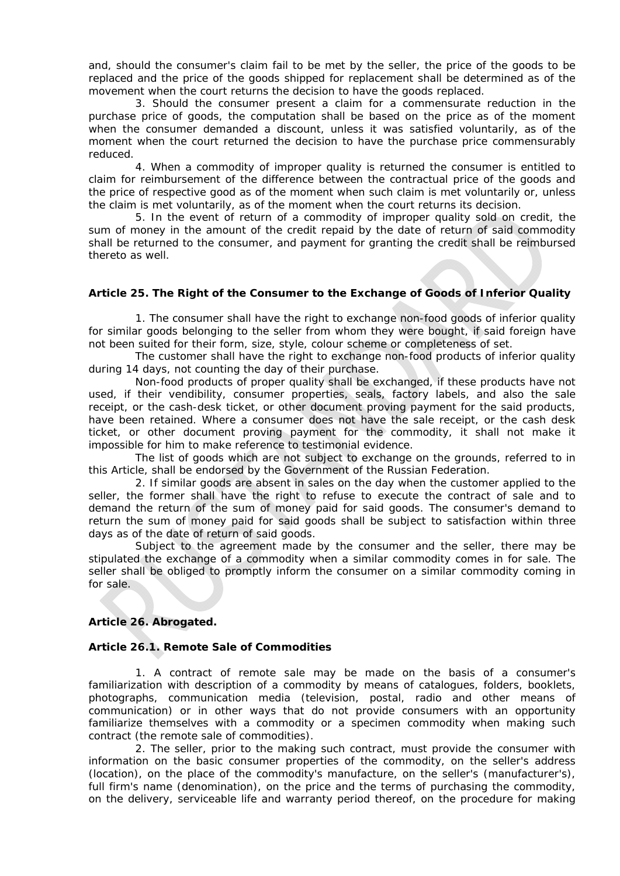and, should the consumer's claim fail to be met by the seller, the price of the goods to be replaced and the price of the goods shipped for replacement shall be determined as of the movement when the court returns the decision to have the goods replaced.

3. Should the consumer present a claim for a commensurate reduction in the purchase price of goods, the computation shall be based on the price as of the moment when the consumer demanded a discount, unless it was satisfied voluntarily, as of the moment when the court returned the decision to have the purchase price commensurably reduced.

4. When a commodity of improper quality is returned the consumer is entitled to claim for reimbursement of the difference between the contractual price of the goods and the price of respective good as of the moment when such claim is met voluntarily or, unless the claim is met voluntarily, as of the moment when the court returns its decision.

5. In the event of return of a commodity of improper quality sold on credit, the sum of money in the amount of the credit repaid by the date of return of said commodity shall be returned to the consumer, and payment for granting the credit shall be reimbursed thereto as well.

# **Article 25. The Right of the Consumer to the Exchange of Goods of Inferior Quality**

1. The consumer shall have the right to exchange non-food goods of inferior quality for similar goods belonging to the seller from whom they were bought, if said foreign have not been suited for their form, size, style, colour scheme or completeness of set.

The customer shall have the right to exchange non-food products of inferior quality during 14 days, not counting the day of their purchase.

Non-food products of proper quality shall be exchanged, if these products have not used, if their vendibility, consumer properties, seals, factory labels, and also the sale receipt, or the cash-desk ticket, or other document proving payment for the said products, have been retained. Where a consumer does not have the sale receipt, or the cash desk ticket, or other document proving payment for the commodity, it shall not make it impossible for him to make reference to testimonial evidence.

The list of goods which are not subject to exchange on the grounds, referred to in this Article, shall be endorsed by the Government of the Russian Federation.

2. If similar goods are absent in sales on the day when the customer applied to the seller, the former shall have the right to refuse to execute the contract of sale and to demand the return of the sum of money paid for said goods. The consumer's demand to return the sum of money paid for said goods shall be subject to satisfaction within three days as of the date of return of said goods.

Subject to the agreement made by the consumer and the seller, there may be stipulated the exchange of a commodity when a similar commodity comes in for sale. The seller shall be obliged to promptly inform the consumer on a similar commodity coming in for sale.

# **Article 26. Abrogated.**

# **Article 26.1. Remote Sale of Commodities**

1. A contract of remote sale may be made on the basis of a consumer's familiarization with description of a commodity by means of catalogues, folders, booklets, photographs, communication media (television, postal, radio and other means of communication) or in other ways that do not provide consumers with an opportunity familiarize themselves with a commodity or a specimen commodity when making such contract (the remote sale of commodities).

2. The seller, prior to the making such contract, must provide the consumer with information on the basic consumer properties of the commodity, on the seller's address (location), on the place of the commodity's manufacture, on the seller's (manufacturer's), full firm's name (denomination), on the price and the terms of purchasing the commodity, on the delivery, serviceable life and warranty period thereof, on the procedure for making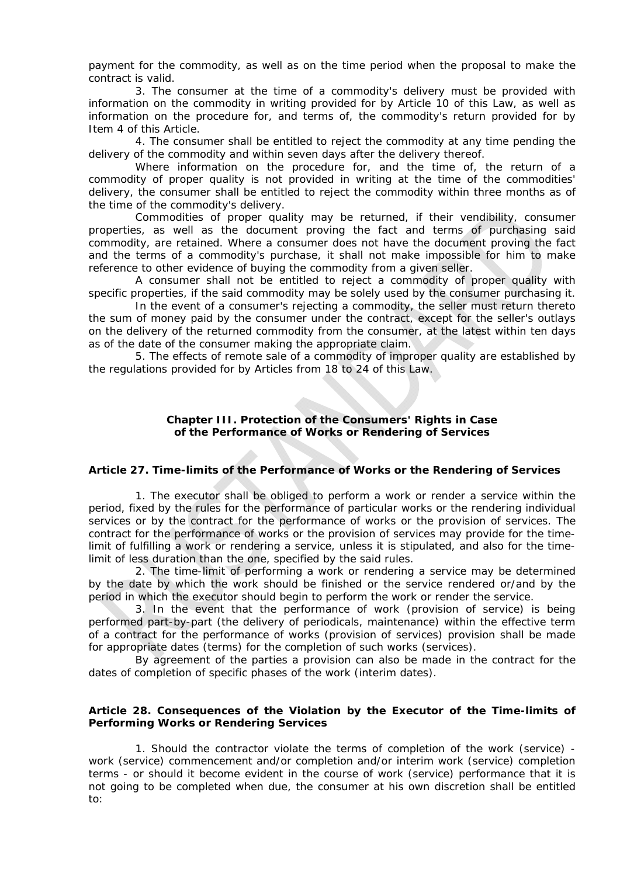payment for the commodity, as well as on the time period when the proposal to make the contract is valid.

3. The consumer at the time of a commodity's delivery must be provided with information on the commodity in writing provided for by Article 10 of this Law, as well as information on the procedure for, and terms of, the commodity's return provided for by Item 4 of this Article.

4. The consumer shall be entitled to reject the commodity at any time pending the delivery of the commodity and within seven days after the delivery thereof.

Where information on the procedure for, and the time of, the return of a commodity of proper quality is not provided in writing at the time of the commodities' delivery, the consumer shall be entitled to reject the commodity within three months as of the time of the commodity's delivery.

Commodities of proper quality may be returned, if their vendibility, consumer properties, as well as the document proving the fact and terms of purchasing said commodity, are retained. Where a consumer does not have the document proving the fact and the terms of a commodity's purchase, it shall not make impossible for him to make reference to other evidence of buying the commodity from a given seller.

A consumer shall not be entitled to reject a commodity of proper quality with specific properties, if the said commodity may be solely used by the consumer purchasing it.

In the event of a consumer's rejecting a commodity, the seller must return thereto the sum of money paid by the consumer under the contract, except for the seller's outlays on the delivery of the returned commodity from the consumer, at the latest within ten days as of the date of the consumer making the appropriate claim.

5. The effects of remote sale of a commodity of improper quality are established by the regulations provided for by Articles from 18 to 24 of this Law.

#### **Chapter III. Protection of the Consumers' Rights in Case of the Performance of Works or Rendering of Services**

#### **Article 27. Time-limits of the Performance of Works or the Rendering of Services**

1. The executor shall be obliged to perform a work or render a service within the period, fixed by the rules for the performance of particular works or the rendering individual services or by the contract for the performance of works or the provision of services. The contract for the performance of works or the provision of services may provide for the timelimit of fulfilling a work or rendering a service, unless it is stipulated, and also for the timelimit of less duration than the one, specified by the said rules.

2. The time-limit of performing a work or rendering a service may be determined by the date by which the work should be finished or the service rendered or/and by the period in which the executor should begin to perform the work or render the service.

3. In the event that the performance of work (provision of service) is being performed part-by-part (the delivery of periodicals, maintenance) within the effective term of a contract for the performance of works (provision of services) provision shall be made for appropriate dates (terms) for the completion of such works (services).

By agreement of the parties a provision can also be made in the contract for the dates of completion of specific phases of the work (interim dates).

## **Article 28. Consequences of the Violation by the Executor of the Time-limits of Performing Works or Rendering Services**

1. Should the contractor violate the terms of completion of the work (service) work (service) commencement and/or completion and/or interim work (service) completion terms - or should it become evident in the course of work (service) performance that it is not going to be completed when due, the consumer at his own discretion shall be entitled to: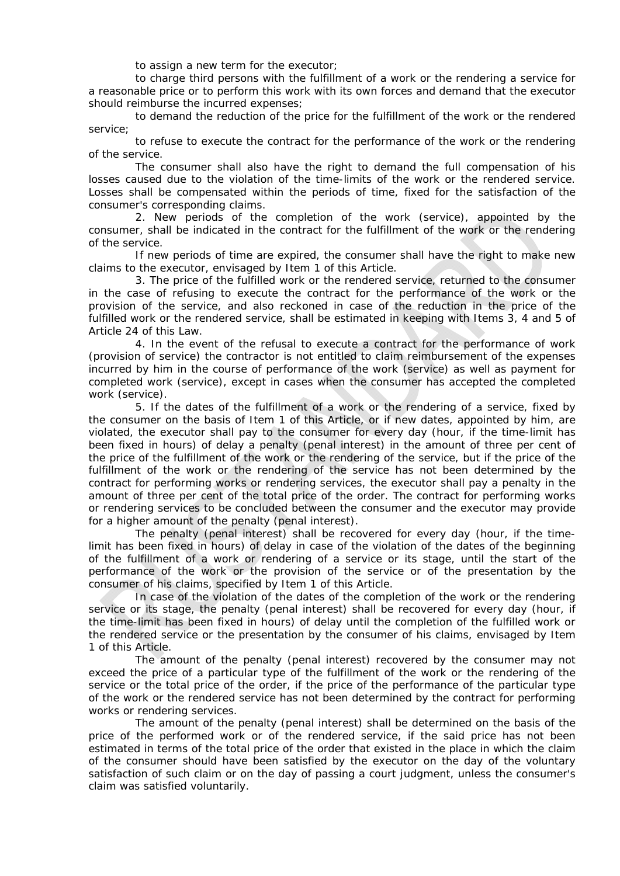to assign a new term for the executor;

to charge third persons with the fulfillment of a work or the rendering a service for a reasonable price or to perform this work with its own forces and demand that the executor should reimburse the incurred expenses;

to demand the reduction of the price for the fulfillment of the work or the rendered service;

to refuse to execute the contract for the performance of the work or the rendering of the service.

The consumer shall also have the right to demand the full compensation of his losses caused due to the violation of the time-limits of the work or the rendered service. Losses shall be compensated within the periods of time, fixed for the satisfaction of the consumer's corresponding claims.

2. New periods of the completion of the work (service), appointed by the consumer, shall be indicated in the contract for the fulfillment of the work or the rendering of the service.

If new periods of time are expired, the consumer shall have the right to make new claims to the executor, envisaged by Item 1 of this Article.

3. The price of the fulfilled work or the rendered service, returned to the consumer in the case of refusing to execute the contract for the performance of the work or the provision of the service, and also reckoned in case of the reduction in the price of the fulfilled work or the rendered service, shall be estimated in keeping with Items 3, 4 and 5 of Article 24 of this Law.

4. In the event of the refusal to execute a contract for the performance of work (provision of service) the contractor is not entitled to claim reimbursement of the expenses incurred by him in the course of performance of the work (service) as well as payment for completed work (service), except in cases when the consumer has accepted the completed work (service).

5. If the dates of the fulfillment of a work or the rendering of a service, fixed by the consumer on the basis of Item 1 of this Article, or if new dates, appointed by him, are violated, the executor shall pay to the consumer for every day (hour, if the time-limit has been fixed in hours) of delay a penalty (penal interest) in the amount of three per cent of the price of the fulfillment of the work or the rendering of the service, but if the price of the fulfillment of the work or the rendering of the service has not been determined by the contract for performing works or rendering services, the executor shall pay a penalty in the amount of three per cent of the total price of the order. The contract for performing works or rendering services to be concluded between the consumer and the executor may provide for a higher amount of the penalty (penal interest).

The penalty (penal interest) shall be recovered for every day (hour, if the timelimit has been fixed in hours) of delay in case of the violation of the dates of the beginning of the fulfillment of a work or rendering of a service or its stage, until the start of the performance of the work or the provision of the service or of the presentation by the consumer of his claims, specified by Item 1 of this Article.

In case of the violation of the dates of the completion of the work or the rendering service or its stage, the penalty (penal interest) shall be recovered for every day (hour, if the time-limit has been fixed in hours) of delay until the completion of the fulfilled work or the rendered service or the presentation by the consumer of his claims, envisaged by Item 1 of this Article.

The amount of the penalty (penal interest) recovered by the consumer may not exceed the price of a particular type of the fulfillment of the work or the rendering of the service or the total price of the order, if the price of the performance of the particular type of the work or the rendered service has not been determined by the contract for performing works or rendering services.

The amount of the penalty (penal interest) shall be determined on the basis of the price of the performed work or of the rendered service, if the said price has not been estimated in terms of the total price of the order that existed in the place in which the claim of the consumer should have been satisfied by the executor on the day of the voluntary satisfaction of such claim or on the day of passing a court judgment, unless the consumer's claim was satisfied voluntarily.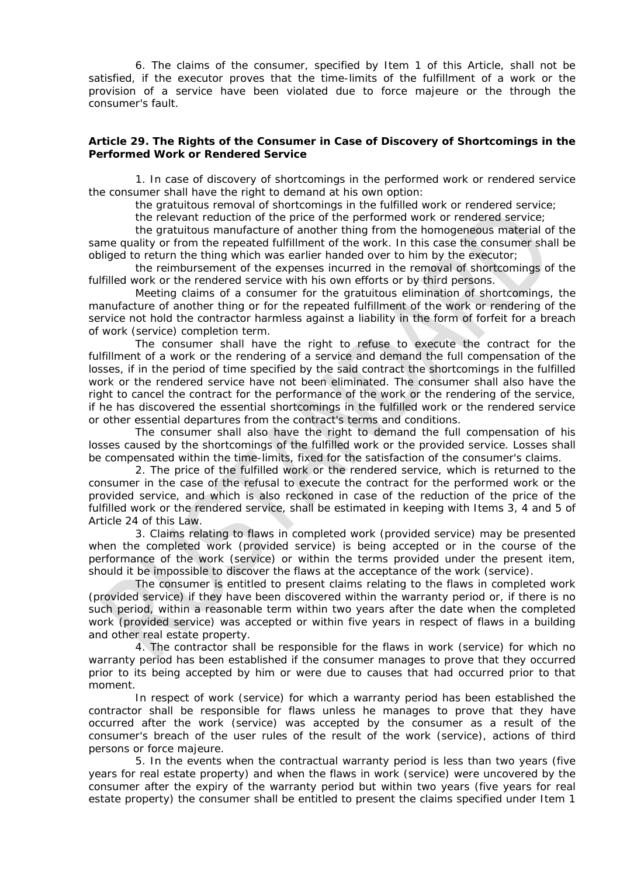6. The claims of the consumer, specified by Item 1 of this Article, shall not be satisfied, if the executor proves that the time-limits of the fulfillment of a work or the provision of a service have been violated due to force majeure or the through the consumer's fault.

### **Article 29. The Rights of the Consumer in Case of Discovery of Shortcomings in the Performed Work or Rendered Service**

1. In case of discovery of shortcomings in the performed work or rendered service the consumer shall have the right to demand at his own option:

the gratuitous removal of shortcomings in the fulfilled work or rendered service;

the relevant reduction of the price of the performed work or rendered service;

the gratuitous manufacture of another thing from the homogeneous material of the same quality or from the repeated fulfillment of the work. In this case the consumer shall be obliged to return the thing which was earlier handed over to him by the executor;

the reimbursement of the expenses incurred in the removal of shortcomings of the fulfilled work or the rendered service with his own efforts or by third persons.

Meeting claims of a consumer for the gratuitous elimination of shortcomings, the manufacture of another thing or for the repeated fulfillment of the work or rendering of the service not hold the contractor harmless against a liability in the form of forfeit for a breach of work (service) completion term.

The consumer shall have the right to refuse to execute the contract for the fulfillment of a work or the rendering of a service and demand the full compensation of the losses, if in the period of time specified by the said contract the shortcomings in the fulfilled work or the rendered service have not been eliminated. The consumer shall also have the right to cancel the contract for the performance of the work or the rendering of the service, if he has discovered the essential shortcomings in the fulfilled work or the rendered service or other essential departures from the contract's terms and conditions.

The consumer shall also have the right to demand the full compensation of his losses caused by the shortcomings of the fulfilled work or the provided service. Losses shall be compensated within the time-limits, fixed for the satisfaction of the consumer's claims.

2. The price of the fulfilled work or the rendered service, which is returned to the consumer in the case of the refusal to execute the contract for the performed work or the provided service, and which is also reckoned in case of the reduction of the price of the fulfilled work or the rendered service, shall be estimated in keeping with Items 3, 4 and 5 of Article 24 of this Law.

3. Claims relating to flaws in completed work (provided service) may be presented when the completed work (provided service) is being accepted or in the course of the performance of the work (service) or within the terms provided under the present item, should it be impossible to discover the flaws at the acceptance of the work (service).

The consumer is entitled to present claims relating to the flaws in completed work (provided service) if they have been discovered within the warranty period or, if there is no such period, within a reasonable term within two years after the date when the completed work (provided service) was accepted or within five years in respect of flaws in a building and other real estate property.

4. The contractor shall be responsible for the flaws in work (service) for which no warranty period has been established if the consumer manages to prove that they occurred prior to its being accepted by him or were due to causes that had occurred prior to that moment.

In respect of work (service) for which a warranty period has been established the contractor shall be responsible for flaws unless he manages to prove that they have occurred after the work (service) was accepted by the consumer as a result of the consumer's breach of the user rules of the result of the work (service), actions of third persons or force majeure.

5. In the events when the contractual warranty period is less than two years (five years for real estate property) and when the flaws in work (service) were uncovered by the consumer after the expiry of the warranty period but within two years (five years for real estate property) the consumer shall be entitled to present the claims specified under Item 1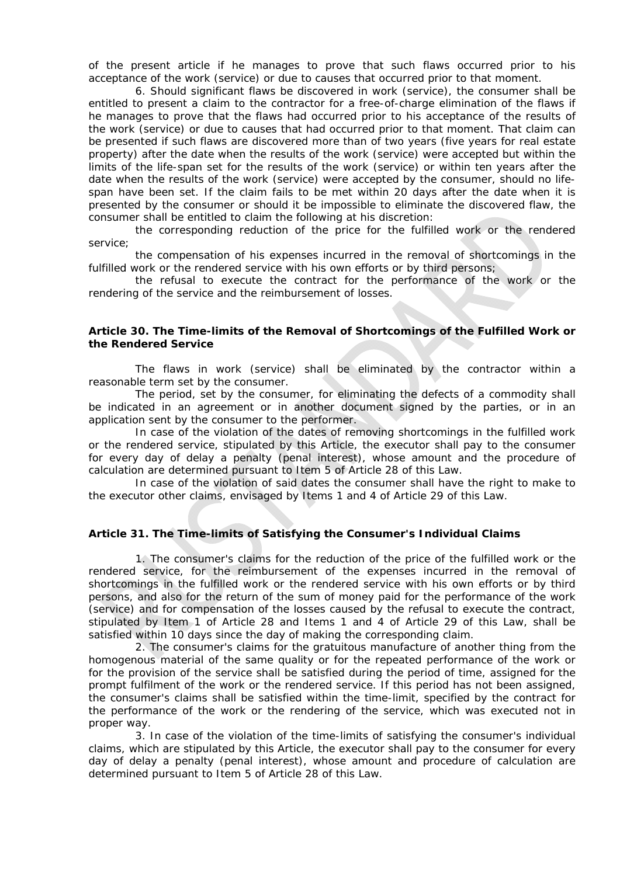of the present article if he manages to prove that such flaws occurred prior to his acceptance of the work (service) or due to causes that occurred prior to that moment.

6. Should significant flaws be discovered in work (service), the consumer shall be entitled to present a claim to the contractor for a free-of-charge elimination of the flaws if he manages to prove that the flaws had occurred prior to his acceptance of the results of the work (service) or due to causes that had occurred prior to that moment. That claim can be presented if such flaws are discovered more than of two years (five years for real estate property) after the date when the results of the work (service) were accepted but within the limits of the life-span set for the results of the work (service) or within ten years after the date when the results of the work (service) were accepted by the consumer, should no lifespan have been set. If the claim fails to be met within 20 days after the date when it is presented by the consumer or should it be impossible to eliminate the discovered flaw, the consumer shall be entitled to claim the following at his discretion:

the corresponding reduction of the price for the fulfilled work or the rendered service;

the compensation of his expenses incurred in the removal of shortcomings in the fulfilled work or the rendered service with his own efforts or by third persons;

the refusal to execute the contract for the performance of the work or the rendering of the service and the reimbursement of losses.

### **Article 30. The Time-limits of the Removal of Shortcomings of the Fulfilled Work or the Rendered Service**

The flaws in work (service) shall be eliminated by the contractor within a reasonable term set by the consumer.

The period, set by the consumer, for eliminating the defects of a commodity shall be indicated in an agreement or in another document signed by the parties, or in an application sent by the consumer to the performer.

In case of the violation of the dates of removing shortcomings in the fulfilled work or the rendered service, stipulated by this Article, the executor shall pay to the consumer for every day of delay a penalty (penal interest), whose amount and the procedure of calculation are determined pursuant to Item 5 of Article 28 of this Law.

In case of the violation of said dates the consumer shall have the right to make to the executor other claims, envisaged by Items 1 and 4 of Article 29 of this Law.

#### **Article 31. The Time-limits of Satisfying the Consumer's Individual Claims**

1. The consumer's claims for the reduction of the price of the fulfilled work or the rendered service, for the reimbursement of the expenses incurred in the removal of shortcomings in the fulfilled work or the rendered service with his own efforts or by third persons, and also for the return of the sum of money paid for the performance of the work (service) and for compensation of the losses caused by the refusal to execute the contract, stipulated by Item 1 of Article 28 and Items 1 and 4 of Article 29 of this Law, shall be satisfied within 10 days since the day of making the corresponding claim.

2. The consumer's claims for the gratuitous manufacture of another thing from the homogenous material of the same quality or for the repeated performance of the work or for the provision of the service shall be satisfied during the period of time, assigned for the prompt fulfilment of the work or the rendered service. If this period has not been assigned, the consumer's claims shall be satisfied within the time-limit, specified by the contract for the performance of the work or the rendering of the service, which was executed not in proper way.

3. In case of the violation of the time-limits of satisfying the consumer's individual claims, which are stipulated by this Article, the executor shall pay to the consumer for every day of delay a penalty (penal interest), whose amount and procedure of calculation are determined pursuant to Item 5 of Article 28 of this Law.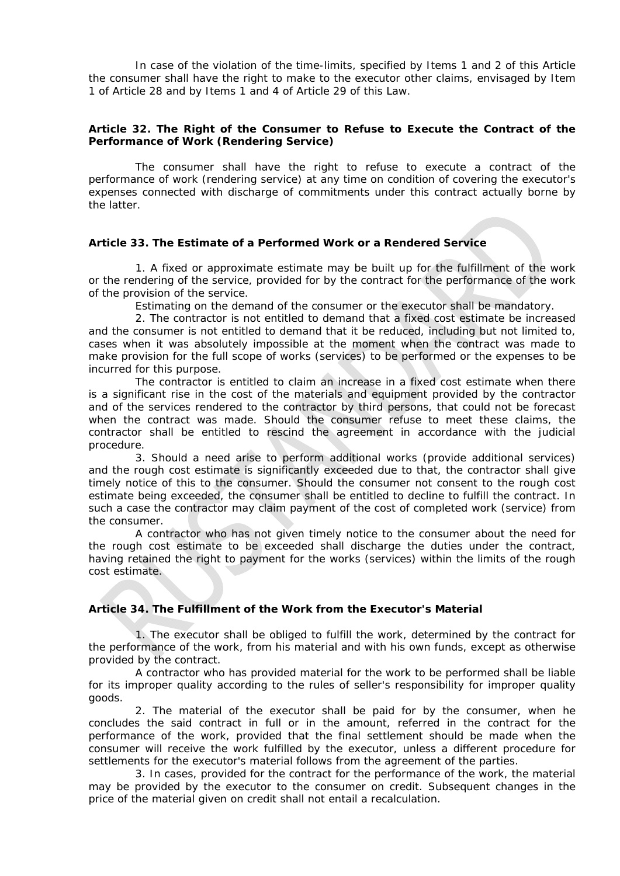In case of the violation of the time-limits, specified by Items 1 and 2 of this Article the consumer shall have the right to make to the executor other claims, envisaged by Item 1 of Article 28 and by Items 1 and 4 of Article 29 of this Law.

## **Article 32. The Right of the Consumer to Refuse to Execute the Contract of the Performance of Work (Rendering Service)**

The consumer shall have the right to refuse to execute a contract of the performance of work (rendering service) at any time on condition of covering the executor's expenses connected with discharge of commitments under this contract actually borne by the latter.

## **Article 33. The Estimate of a Performed Work or a Rendered Service**

1. A fixed or approximate estimate may be built up for the fulfillment of the work or the rendering of the service, provided for by the contract for the performance of the work of the provision of the service.

Estimating on the demand of the consumer or the executor shall be mandatory.

2. The contractor is not entitled to demand that a fixed cost estimate be increased and the consumer is not entitled to demand that it be reduced, including but not limited to, cases when it was absolutely impossible at the moment when the contract was made to make provision for the full scope of works (services) to be performed or the expenses to be incurred for this purpose.

The contractor is entitled to claim an increase in a fixed cost estimate when there is a significant rise in the cost of the materials and equipment provided by the contractor and of the services rendered to the contractor by third persons, that could not be forecast when the contract was made. Should the consumer refuse to meet these claims, the contractor shall be entitled to rescind the agreement in accordance with the judicial procedure.

3. Should a need arise to perform additional works (provide additional services) and the rough cost estimate is significantly exceeded due to that, the contractor shall give timely notice of this to the consumer. Should the consumer not consent to the rough cost estimate being exceeded, the consumer shall be entitled to decline to fulfill the contract. In such a case the contractor may claim payment of the cost of completed work (service) from the consumer.

A contractor who has not given timely notice to the consumer about the need for the rough cost estimate to be exceeded shall discharge the duties under the contract, having retained the right to payment for the works (services) within the limits of the rough cost estimate.

# **Article 34. The Fulfillment of the Work from the Executor's Material**

1. The executor shall be obliged to fulfill the work, determined by the contract for the performance of the work, from his material and with his own funds, except as otherwise provided by the contract.

A contractor who has provided material for the work to be performed shall be liable for its improper quality according to the rules of seller's responsibility for improper quality goods.

2. The material of the executor shall be paid for by the consumer, when he concludes the said contract in full or in the amount, referred in the contract for the performance of the work, provided that the final settlement should be made when the consumer will receive the work fulfilled by the executor, unless a different procedure for settlements for the executor's material follows from the agreement of the parties.

3. In cases, provided for the contract for the performance of the work, the material may be provided by the executor to the consumer on credit. Subsequent changes in the price of the material given on credit shall not entail a recalculation.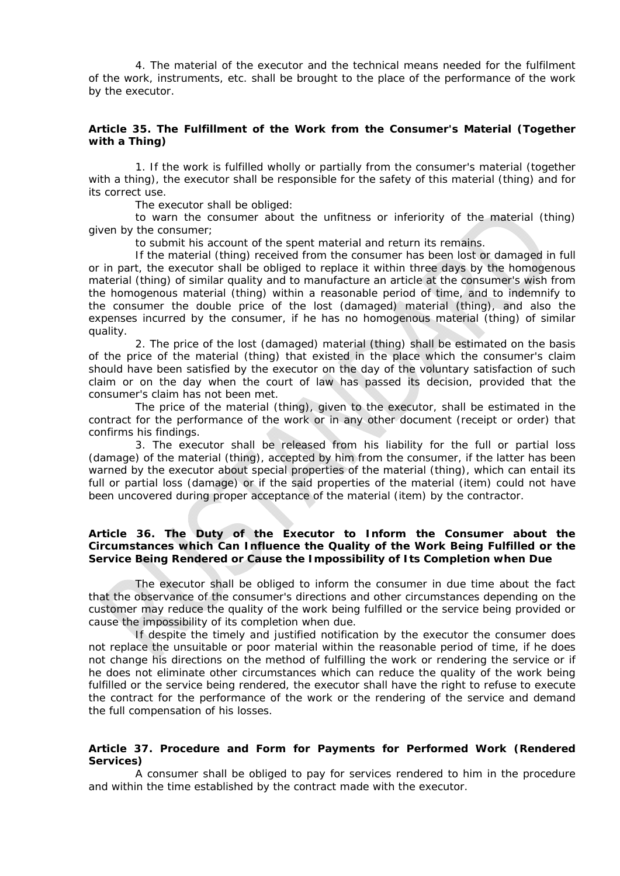4. The material of the executor and the technical means needed for the fulfilment of the work, instruments, etc. shall be brought to the place of the performance of the work by the executor.

# **Article 35. The Fulfillment of the Work from the Consumer's Material (Together with a Thing)**

1. If the work is fulfilled wholly or partially from the consumer's material (together with a thing), the executor shall be responsible for the safety of this material (thing) and for its correct use.

The executor shall be obliged:

to warn the consumer about the unfitness or inferiority of the material (thing) given by the consumer;

to submit his account of the spent material and return its remains.

If the material (thing) received from the consumer has been lost or damaged in full or in part, the executor shall be obliged to replace it within three days by the homogenous material (thing) of similar quality and to manufacture an article at the consumer's wish from the homogenous material (thing) within a reasonable period of time, and to indemnify to the consumer the double price of the lost (damaged) material (thing), and also the expenses incurred by the consumer, if he has no homogenous material (thing) of similar quality.

2. The price of the lost (damaged) material (thing) shall be estimated on the basis of the price of the material (thing) that existed in the place which the consumer's claim should have been satisfied by the executor on the day of the voluntary satisfaction of such claim or on the day when the court of law has passed its decision, provided that the consumer's claim has not been met.

The price of the material (thing), given to the executor, shall be estimated in the contract for the performance of the work or in any other document (receipt or order) that confirms his findings.

3. The executor shall be released from his liability for the full or partial loss (damage) of the material (thing), accepted by him from the consumer, if the latter has been warned by the executor about special properties of the material (thing), which can entail its full or partial loss (damage) or if the said properties of the material (item) could not have been uncovered during proper acceptance of the material (item) by the contractor.

# **Article 36. The Duty of the Executor to Inform the Consumer about the Circumstances which Can Influence the Quality of the Work Being Fulfilled or the Service Being Rendered or Cause the Impossibility of Its Completion when Due**

The executor shall be obliged to inform the consumer in due time about the fact that the observance of the consumer's directions and other circumstances depending on the customer may reduce the quality of the work being fulfilled or the service being provided or cause the impossibility of its completion when due.

If despite the timely and justified notification by the executor the consumer does not replace the unsuitable or poor material within the reasonable period of time, if he does not change his directions on the method of fulfilling the work or rendering the service or if he does not eliminate other circumstances which can reduce the quality of the work being fulfilled or the service being rendered, the executor shall have the right to refuse to execute the contract for the performance of the work or the rendering of the service and demand the full compensation of his losses.

## **Article 37. Procedure and Form for Payments for Performed Work (Rendered Services)**

A consumer shall be obliged to pay for services rendered to him in the procedure and within the time established by the contract made with the executor.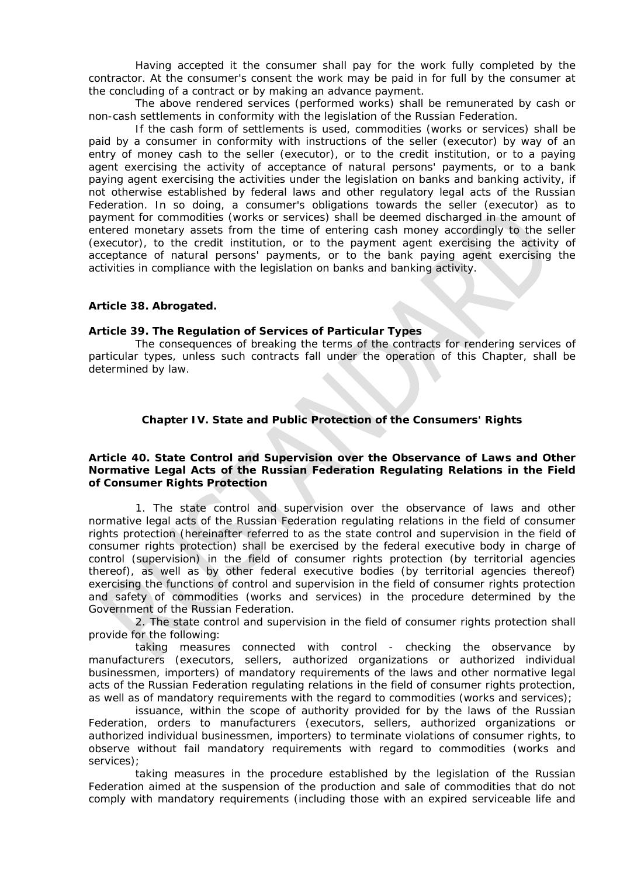Having accepted it the consumer shall pay for the work fully completed by the contractor. At the consumer's consent the work may be paid in for full by the consumer at the concluding of a contract or by making an advance payment.

The above rendered services (performed works) shall be remunerated by cash or non-cash settlements in conformity with the legislation of the Russian Federation.

If the cash form of settlements is used, commodities (works or services) shall be paid by a consumer in conformity with instructions of the seller (executor) by way of an entry of money cash to the seller (executor), or to the credit institution, or to a paying agent exercising the activity of acceptance of natural persons' payments, or to a bank paying agent exercising the activities under the legislation on banks and banking activity, if not otherwise established by federal laws and other regulatory legal acts of the Russian Federation. In so doing, a consumer's obligations towards the seller (executor) as to payment for commodities (works or services) shall be deemed discharged in the amount of entered monetary assets from the time of entering cash money accordingly to the seller (executor), to the credit institution, or to the payment agent exercising the activity of acceptance of natural persons' payments, or to the bank paying agent exercising the activities in compliance with the legislation on banks and banking activity.

## **Article 38. Abrogated.**

#### **Article 39. The Regulation of Services of Particular Types**

The consequences of breaking the terms of the contracts for rendering services of particular types, unless such contracts fall under the operation of this Chapter, shall be determined by law.

# **Chapter IV. State and Public Protection of the Consumers' Rights**

# **Article 40. State Control and Supervision over the Observance of Laws and Other Normative Legal Acts of the Russian Federation Regulating Relations in the Field of Consumer Rights Protection**

1. The state control and supervision over the observance of laws and other normative legal acts of the Russian Federation regulating relations in the field of consumer rights protection (hereinafter referred to as the state control and supervision in the field of consumer rights protection) shall be exercised by the federal executive body in charge of control (supervision) in the field of consumer rights protection (by territorial agencies thereof), as well as by other federal executive bodies (by territorial agencies thereof) exercising the functions of control and supervision in the field of consumer rights protection and safety of commodities (works and services) in the procedure determined by the Government of the Russian Federation.

2. The state control and supervision in the field of consumer rights protection shall provide for the following:

taking measures connected with control - checking the observance by manufacturers (executors, sellers, authorized organizations or authorized individual businessmen, importers) of mandatory requirements of the laws and other normative legal acts of the Russian Federation regulating relations in the field of consumer rights protection, as well as of mandatory requirements with the regard to commodities (works and services);

issuance, within the scope of authority provided for by the laws of the Russian Federation, orders to manufacturers (executors, sellers, authorized organizations or authorized individual businessmen, importers) to terminate violations of consumer rights, to observe without fail mandatory requirements with regard to commodities (works and services);

taking measures in the procedure established by the legislation of the Russian Federation aimed at the suspension of the production and sale of commodities that do not comply with mandatory requirements (including those with an expired serviceable life and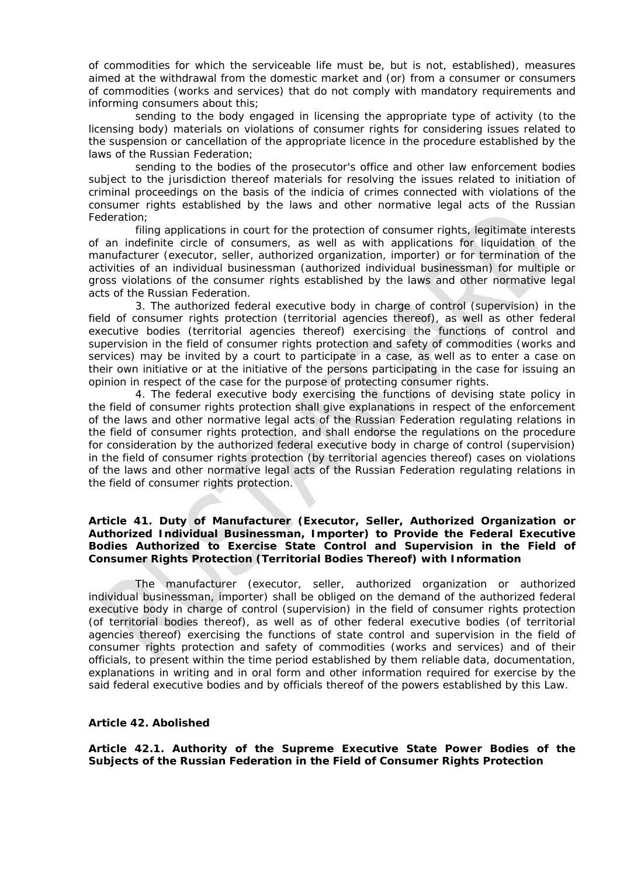of commodities for which the serviceable life must be, but is not, established), measures aimed at the withdrawal from the domestic market and (or) from a consumer or consumers of commodities (works and services) that do not comply with mandatory requirements and informing consumers about this;

sending to the body engaged in licensing the appropriate type of activity (to the licensing body) materials on violations of consumer rights for considering issues related to the suspension or cancellation of the appropriate licence in the procedure established by the laws of the Russian Federation;

sending to the bodies of the prosecutor's office and other law enforcement bodies subject to the jurisdiction thereof materials for resolving the issues related to initiation of criminal proceedings on the basis of the indicia of crimes connected with violations of the consumer rights established by the laws and other normative legal acts of the Russian Federation;

filing applications in court for the protection of consumer rights, legitimate interests of an indefinite circle of consumers, as well as with applications for liquidation of the manufacturer (executor, seller, authorized organization, importer) or for termination of the activities of an individual businessman (authorized individual businessman) for multiple or gross violations of the consumer rights established by the laws and other normative legal acts of the Russian Federation.

3. The authorized federal executive body in charge of control (supervision) in the field of consumer rights protection (territorial agencies thereof), as well as other federal executive bodies (territorial agencies thereof) exercising the functions of control and supervision in the field of consumer rights protection and safety of commodities (works and services) may be invited by a court to participate in a case, as well as to enter a case on their own initiative or at the initiative of the persons participating in the case for issuing an opinion in respect of the case for the purpose of protecting consumer rights.

4. The federal executive body exercising the functions of devising state policy in the field of consumer rights protection shall give explanations in respect of the enforcement of the laws and other normative legal acts of the Russian Federation regulating relations in the field of consumer rights protection, and shall endorse the regulations on the procedure for consideration by the authorized federal executive body in charge of control (supervision) in the field of consumer rights protection (by territorial agencies thereof) cases on violations of the laws and other normative legal acts of the Russian Federation regulating relations in the field of consumer rights protection.

## **Article 41. Duty of Manufacturer (Executor, Seller, Authorized Organization or Authorized Individual Businessman, Importer) to Provide the Federal Executive Bodies Authorized to Exercise State Control and Supervision in the Field of Consumer Rights Protection (Territorial Bodies Thereof) with Information**

The manufacturer (executor, seller, authorized organization or authorized individual businessman, importer) shall be obliged on the demand of the authorized federal executive body in charge of control (supervision) in the field of consumer rights protection (of territorial bodies thereof), as well as of other federal executive bodies (of territorial agencies thereof) exercising the functions of state control and supervision in the field of consumer rights protection and safety of commodities (works and services) and of their officials, to present within the time period established by them reliable data, documentation, explanations in writing and in oral form and other information required for exercise by the said federal executive bodies and by officials thereof of the powers established by this Law.

## **Article 42. Abolished**

**Article 42.1. Authority of the Supreme Executive State Power Bodies of the Subjects of the Russian Federation in the Field of Consumer Rights Protection**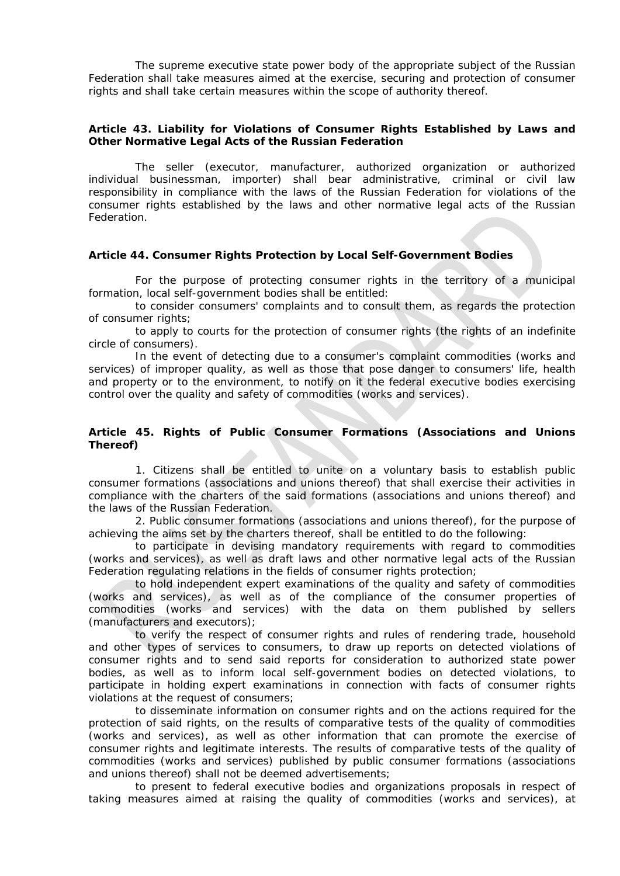The supreme executive state power body of the appropriate subject of the Russian Federation shall take measures aimed at the exercise, securing and protection of consumer rights and shall take certain measures within the scope of authority thereof.

## **Article 43. Liability for Violations of Consumer Rights Established by Laws and Other Normative Legal Acts of the Russian Federation**

The seller (executor, manufacturer, authorized organization or authorized individual businessman, importer) shall bear administrative, criminal or civil law responsibility in compliance with the laws of the Russian Federation for violations of the consumer rights established by the laws and other normative legal acts of the Russian Federation.

# **Article 44. Consumer Rights Protection by Local Self-Government Bodies**

For the purpose of protecting consumer rights in the territory of a municipal formation, local self-government bodies shall be entitled:

to consider consumers' complaints and to consult them, as regards the protection of consumer rights;

to apply to courts for the protection of consumer rights (the rights of an indefinite circle of consumers).

In the event of detecting due to a consumer's complaint commodities (works and services) of improper quality, as well as those that pose danger to consumers' life, health and property or to the environment, to notify on it the federal executive bodies exercising control over the quality and safety of commodities (works and services).

## **Article 45. Rights of Public Consumer Formations (Associations and Unions Thereof)**

1. Citizens shall be entitled to unite on a voluntary basis to establish public consumer formations (associations and unions thereof) that shall exercise their activities in compliance with the charters of the said formations (associations and unions thereof) and the laws of the Russian Federation.

2. Public consumer formations (associations and unions thereof), for the purpose of achieving the aims set by the charters thereof, shall be entitled to do the following:

to participate in devising mandatory requirements with regard to commodities (works and services), as well as draft laws and other normative legal acts of the Russian Federation regulating relations in the fields of consumer rights protection;

to hold independent expert examinations of the quality and safety of commodities (works and services), as well as of the compliance of the consumer properties of commodities (works and services) with the data on them published by sellers (manufacturers and executors);

to verify the respect of consumer rights and rules of rendering trade, household and other types of services to consumers, to draw up reports on detected violations of consumer rights and to send said reports for consideration to authorized state power bodies, as well as to inform local self-government bodies on detected violations, to participate in holding expert examinations in connection with facts of consumer rights violations at the request of consumers;

to disseminate information on consumer rights and on the actions required for the protection of said rights, on the results of comparative tests of the quality of commodities (works and services), as well as other information that can promote the exercise of consumer rights and legitimate interests. The results of comparative tests of the quality of commodities (works and services) published by public consumer formations (associations and unions thereof) shall not be deemed advertisements;

to present to federal executive bodies and organizations proposals in respect of taking measures aimed at raising the quality of commodities (works and services), at